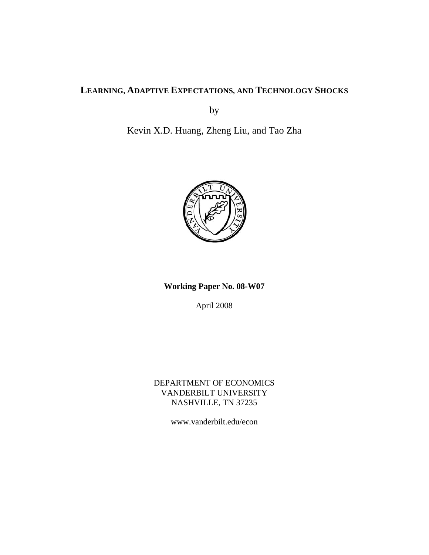# **LEARNING, ADAPTIVE EXPECTATIONS, AND TECHNOLOGY SHOCKS**

by

Kevin X.D. Huang, Zheng Liu, and Tao Zha



# **Working Paper No. 08-W07**

April 2008

DEPARTMENT OF ECONOMICS VANDERBILT UNIVERSITY NASHVILLE, TN 37235

www.vanderbilt.edu/econ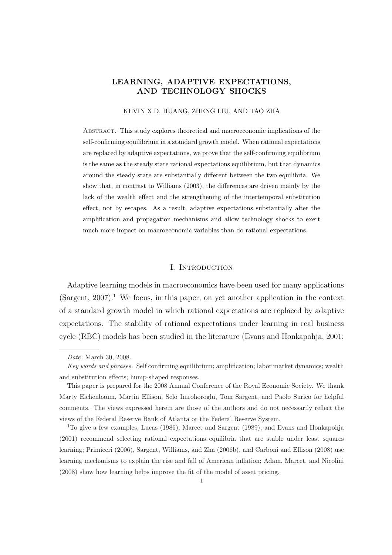## LEARNING, ADAPTIVE EXPECTATIONS, AND TECHNOLOGY SHOCKS

#### KEVIN X.D. HUANG, ZHENG LIU, AND TAO ZHA

Abstract. This study explores theoretical and macroeconomic implications of the self-confirming equilibrium in a standard growth model. When rational expectations are replaced by adaptive expectations, we prove that the self-confirming equilibrium is the same as the steady state rational expectations equilibrium, but that dynamics around the steady state are substantially different between the two equilibria. We show that, in contrast to Williams (2003), the differences are driven mainly by the lack of the wealth effect and the strengthening of the intertemporal substitution effect, not by escapes. As a result, adaptive expectations substantially alter the amplification and propagation mechanisms and allow technology shocks to exert much more impact on macroeconomic variables than do rational expectations.

#### I. INTRODUCTION

Adaptive learning models in macroeconomics have been used for many applications  $(Sargent, 2007).$ <sup>1</sup> We focus, in this paper, on yet another application in the context of a standard growth model in which rational expectations are replaced by adaptive expectations. The stability of rational expectations under learning in real business cycle (RBC) models has been studied in the literature (Evans and Honkapohja, 2001;

Date: March 30, 2008.

Key words and phrases. Self confirming equilibrium; amplification; labor market dynamics; wealth and substitution effects; hump-shaped responses.

This paper is prepared for the 2008 Annual Conference of the Royal Economic Society. We thank Marty Eichenbaum, Martin Ellison, Selo Imrohoroglu, Tom Sargent, and Paolo Surico for helpful comments. The views expressed herein are those of the authors and do not necessarily reflect the views of the Federal Reserve Bank of Atlanta or the Federal Reserve System.

<sup>1</sup>To give a few examples, Lucas (1986), Marcet and Sargent (1989), and Evans and Honkapohja (2001) recommend selecting rational expectations equilibria that are stable under least squares learning; Primiceri (2006), Sargent, Williams, and Zha (2006b), and Carboni and Ellison (2008) use learning mechanisms to explain the rise and fall of American inflation; Adam, Marcet, and Nicolini (2008) show how learning helps improve the fit of the model of asset pricing.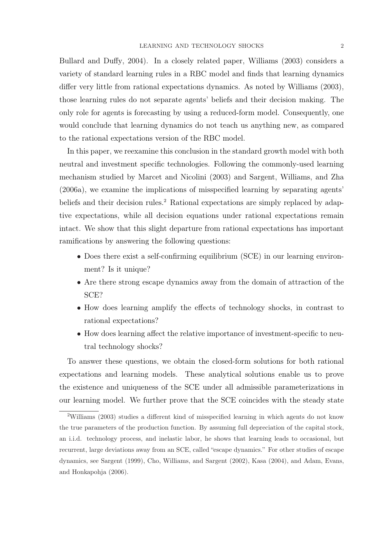Bullard and Duffy, 2004). In a closely related paper, Williams (2003) considers a variety of standard learning rules in a RBC model and finds that learning dynamics differ very little from rational expectations dynamics. As noted by Williams (2003), those learning rules do not separate agents' beliefs and their decision making. The only role for agents is forecasting by using a reduced-form model. Consequently, one would conclude that learning dynamics do not teach us anything new, as compared to the rational expectations version of the RBC model.

In this paper, we reexamine this conclusion in the standard growth model with both neutral and investment specific technologies. Following the commonly-used learning mechanism studied by Marcet and Nicolini (2003) and Sargent, Williams, and Zha (2006a), we examine the implications of misspecified learning by separating agents' beliefs and their decision rules.<sup>2</sup> Rational expectations are simply replaced by adaptive expectations, while all decision equations under rational expectations remain intact. We show that this slight departure from rational expectations has important ramifications by answering the following questions:

- Does there exist a self-confirming equilibrium (SCE) in our learning environment? Is it unique?
- Are there strong escape dynamics away from the domain of attraction of the SCE?
- How does learning amplify the effects of technology shocks, in contrast to rational expectations?
- How does learning affect the relative importance of investment-specific to neutral technology shocks?

To answer these questions, we obtain the closed-form solutions for both rational expectations and learning models. These analytical solutions enable us to prove the existence and uniqueness of the SCE under all admissible parameterizations in our learning model. We further prove that the SCE coincides with the steady state

<sup>2</sup>Williams (2003) studies a different kind of misspecified learning in which agents do not know the true parameters of the production function. By assuming full depreciation of the capital stock, an i.i.d. technology process, and inelastic labor, he shows that learning leads to occasional, but recurrent, large deviations away from an SCE, called "escape dynamics." For other studies of escape dynamics, see Sargent (1999), Cho, Williams, and Sargent (2002), Kasa (2004), and Adam, Evans, and Honkapohja (2006).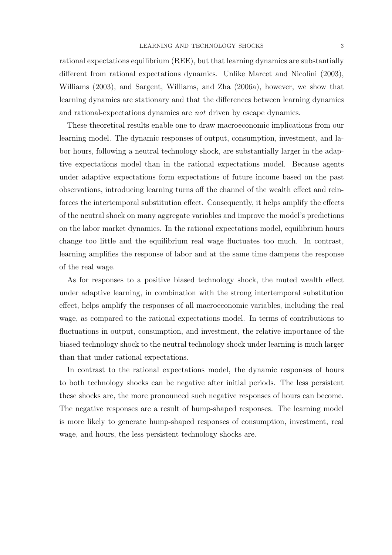rational expectations equilibrium (REE), but that learning dynamics are substantially different from rational expectations dynamics. Unlike Marcet and Nicolini (2003), Williams (2003), and Sargent, Williams, and Zha (2006a), however, we show that learning dynamics are stationary and that the differences between learning dynamics and rational-expectations dynamics are not driven by escape dynamics.

These theoretical results enable one to draw macroeconomic implications from our learning model. The dynamic responses of output, consumption, investment, and labor hours, following a neutral technology shock, are substantially larger in the adaptive expectations model than in the rational expectations model. Because agents under adaptive expectations form expectations of future income based on the past observations, introducing learning turns off the channel of the wealth effect and reinforces the intertemporal substitution effect. Consequently, it helps amplify the effects of the neutral shock on many aggregate variables and improve the model's predictions on the labor market dynamics. In the rational expectations model, equilibrium hours change too little and the equilibrium real wage fluctuates too much. In contrast, learning amplifies the response of labor and at the same time dampens the response of the real wage.

As for responses to a positive biased technology shock, the muted wealth effect under adaptive learning, in combination with the strong intertemporal substitution effect, helps amplify the responses of all macroeconomic variables, including the real wage, as compared to the rational expectations model. In terms of contributions to fluctuations in output, consumption, and investment, the relative importance of the biased technology shock to the neutral technology shock under learning is much larger than that under rational expectations.

In contrast to the rational expectations model, the dynamic responses of hours to both technology shocks can be negative after initial periods. The less persistent these shocks are, the more pronounced such negative responses of hours can become. The negative responses are a result of hump-shaped responses. The learning model is more likely to generate hump-shaped responses of consumption, investment, real wage, and hours, the less persistent technology shocks are.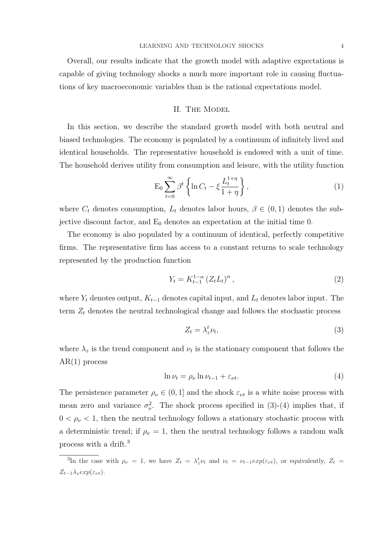Overall, our results indicate that the growth model with adaptive expectations is capable of giving technology shocks a much more important role in causing fluctuations of key macroeconomic variables than is the rational expectations model.

#### II. The Model

In this section, we describe the standard growth model with both neutral and biased technologies. The economy is populated by a continuum of infinitely lived and identical households. The representative household is endowed with a unit of time. The household derives utility from consumption and leisure, with the utility function

$$
\mathcal{E}_0 \sum_{t=0}^{\infty} \beta^t \left\{ \ln C_t - \xi \frac{L_t^{1+\eta}}{1+\eta} \right\},\tag{1}
$$

where  $C_t$  denotes consumption,  $L_t$  denotes labor hours,  $\beta \in (0,1)$  denotes the subjective discount factor, and  $E_0$  denotes an expectation at the initial time 0.

The economy is also populated by a continuum of identical, perfectly competitive firms. The representative firm has access to a constant returns to scale technology represented by the production function

$$
Y_t = K_{t-1}^{1-\alpha} \left( Z_t L_t \right)^{\alpha},\tag{2}
$$

where  $Y_t$  denotes output,  $K_{t-1}$  denotes capital input, and  $L_t$  denotes labor input. The term  $Z_t$  denotes the neutral technological change and follows the stochastic process

$$
Z_t = \lambda_z^t \nu_t,\tag{3}
$$

where  $\lambda_z$  is the trend component and  $\nu_t$  is the stationary component that follows the  $AR(1)$  process

$$
\ln \nu_t = \rho_\nu \ln \nu_{t-1} + \varepsilon_{\nu t}.\tag{4}
$$

The persistence parameter  $\rho_{\nu} \in (0, 1]$  and the shock  $\varepsilon_{\nu t}$  is a white noise process with mean zero and variance  $\sigma_{\nu}^2$ . The shock process specified in (3)-(4) implies that, if  $0 < \rho_{\nu} < 1$ , then the neutral technology follows a stationary stochastic process with a deterministic trend; if  $\rho_{\nu} = 1$ , then the neutral technology follows a random walk process with a drift.<sup>3</sup>

<sup>&</sup>lt;sup>3</sup>In the case with  $\rho_{\nu} = 1$ , we have  $Z_t = \lambda_z^t \nu_t$  and  $\nu_t = \nu_{t-1} exp(\varepsilon_{\nu t})$ , or equivalently,  $Z_t =$  $Z_{t-1}\lambda_z exp(\varepsilon_{\nu t}).$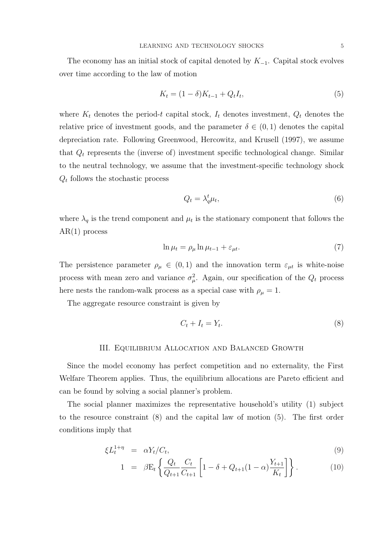The economy has an initial stock of capital denoted by  $K_{-1}$ . Capital stock evolves over time according to the law of motion

$$
K_t = (1 - \delta)K_{t-1} + Q_t I_t, \tag{5}
$$

where  $K_t$  denotes the period-t capital stock,  $I_t$  denotes investment,  $Q_t$  denotes the relative price of investment goods, and the parameter  $\delta \in (0,1)$  denotes the capital depreciation rate. Following Greenwood, Hercowitz, and Krusell (1997), we assume that  $Q_t$  represents the (inverse of) investment specific technological change. Similar to the neutral technology, we assume that the investment-specific technology shock  $Q_t$  follows the stochastic process

$$
Q_t = \lambda_q^t \mu_t,\tag{6}
$$

where  $\lambda_q$  is the trend component and  $\mu_t$  is the stationary component that follows the AR(1) process

$$
\ln \mu_t = \rho_\mu \ln \mu_{t-1} + \varepsilon_{\mu t}.\tag{7}
$$

The persistence parameter  $\rho_{\mu} \in (0,1)$  and the innovation term  $\varepsilon_{\mu t}$  is white-noise process with mean zero and variance  $\sigma_{\mu}^2$ . Again, our specification of the  $Q_t$  process here nests the random-walk process as a special case with  $\rho_{\mu} = 1$ .

The aggregate resource constraint is given by

$$
C_t + I_t = Y_t. \tag{8}
$$

#### III. Equilibrium Allocation and Balanced Growth

Since the model economy has perfect competition and no externality, the First Welfare Theorem applies. Thus, the equilibrium allocations are Pareto efficient and can be found by solving a social planner's problem.

The social planner maximizes the representative household's utility (1) subject to the resource constraint (8) and the capital law of motion (5). The first order conditions imply that

$$
\xi L_t^{1+\eta} = \alpha Y_t / C_t, \tag{9}
$$

$$
1 = \beta E_t \left\{ \frac{Q_t}{Q_{t+1}} \frac{C_t}{C_{t+1}} \left[ 1 - \delta + Q_{t+1} (1 - \alpha) \frac{Y_{t+1}}{K_t} \right] \right\}.
$$
 (10)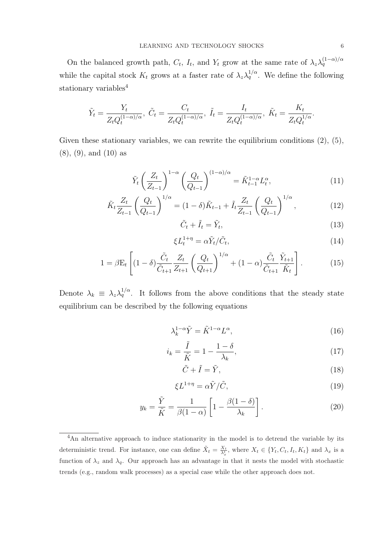On the balanced growth path,  $C_t$ ,  $I_t$ , and  $Y_t$  grow at the same rate of  $\lambda_z \lambda_q^{(1-\alpha)/\alpha}$ while the capital stock  $K_t$  grows at a faster rate of  $\lambda_z \lambda_q^{1/\alpha}$ . We define the following stationary variables<sup>4</sup>

$$
\tilde{Y}_t = \frac{Y_t}{Z_t Q_t^{(1-\alpha)/\alpha}}, \ \tilde{C}_t = \frac{C_t}{Z_t Q_t^{(1-\alpha)/\alpha}}, \ \tilde{I}_t = \frac{I_t}{Z_t Q_t^{(1-\alpha)/\alpha}}, \ \tilde{K}_t = \frac{K_t}{Z_t Q_t^{1/\alpha}}.
$$

Given these stationary variables, we can rewrite the equilibrium conditions  $(2)$ ,  $(5)$ , (8), (9), and (10) as

$$
\tilde{Y}_t \left(\frac{Z_t}{Z_{t-1}}\right)^{1-\alpha} \left(\frac{Q_t}{Q_{t-1}}\right)^{(1-\alpha)/\alpha} = \tilde{K}_{t-1}^{1-\alpha} L_t^{\alpha},\tag{11}
$$

$$
\tilde{K}_t \frac{Z_t}{Z_{t-1}} \left( \frac{Q_t}{Q_{t-1}} \right)^{1/\alpha} = (1 - \delta) \tilde{K}_{t-1} + \tilde{I}_t \frac{Z_t}{Z_{t-1}} \left( \frac{Q_t}{Q_{t-1}} \right)^{1/\alpha}, \tag{12}
$$

$$
\tilde{C}_t + \tilde{I}_t = \tilde{Y}_t,\tag{13}
$$

$$
\xi L_t^{1+\eta} = \alpha \tilde{Y}_t / \tilde{C}_t,\tag{14}
$$

$$
1 = \beta E_t \left[ (1 - \delta) \frac{\tilde{C}_t}{\tilde{C}_{t+1}} \frac{Z_t}{Z_{t+1}} \left( \frac{Q_t}{Q_{t+1}} \right)^{1/\alpha} + (1 - \alpha) \frac{\tilde{C}_t}{\tilde{C}_{t+1}} \frac{\tilde{Y}_{t+1}}{\tilde{K}_t} \right].
$$
 (15)

Denote  $\lambda_k \equiv \lambda_z \lambda_q^{1/\alpha}$ . It follows from the above conditions that the steady state equilibrium can be described by the following equations

$$
\lambda_k^{1-\alpha} \tilde{Y} = \tilde{K}^{1-\alpha} L^{\alpha},\tag{16}
$$

$$
i_k = \frac{\tilde{I}}{\tilde{K}} = 1 - \frac{1 - \delta}{\lambda_k},\tag{17}
$$

$$
\tilde{C} + \tilde{I} = \tilde{Y},\tag{18}
$$

$$
\xi L^{1+\eta} = \alpha \tilde{Y}/\tilde{C},\tag{19}
$$

$$
y_k = \frac{\tilde{Y}}{\tilde{K}} = \frac{1}{\beta(1-\alpha)} \left[ 1 - \frac{\beta(1-\delta)}{\lambda_k} \right].
$$
 (20)

<sup>&</sup>lt;sup>4</sup>An alternative approach to induce stationarity in the model is to detrend the variable by its deterministic trend. For instance, one can define  $\tilde{X}_t = \frac{X_t}{\lambda_x^t}$ , where  $X_t \in \{Y_t, C_t, I_t, K_t\}$  and  $\lambda_x$  is a function of  $\lambda_z$  and  $\lambda_q$ . Our approach has an advantage in that it nests the model with stochastic trends (e.g., random walk processes) as a special case while the other approach does not.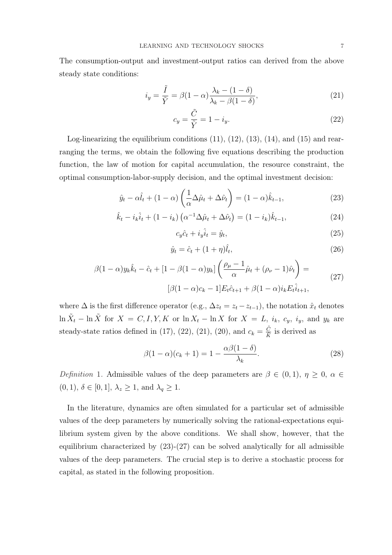The consumption-output and investment-output ratios can derived from the above steady state conditions:

$$
i_y = \frac{\tilde{I}}{\tilde{Y}} = \beta(1 - \alpha) \frac{\lambda_k - (1 - \delta)}{\lambda_k - \beta(1 - \delta)},
$$
\n(21)

$$
c_y = \frac{\tilde{C}}{\tilde{Y}} = 1 - i_y.
$$
\n(22)

Log-linearizing the equilibrium conditions (11), (12), (13), (14), and (15) and rearranging the terms, we obtain the following five equations describing the production function, the law of motion for capital accumulation, the resource constraint, the optimal consumption-labor-supply decision, and the optimal investment decision:

$$
\hat{y}_t - \alpha \hat{l}_t + (1 - \alpha) \left( \frac{1}{\alpha} \Delta \hat{\mu}_t + \Delta \hat{\nu}_t \right) = (1 - \alpha) \hat{k}_{t-1},\tag{23}
$$

$$
\hat{k}_t - i_k \hat{i}_t + (1 - i_k) \left( \alpha^{-1} \Delta \hat{\mu}_t + \Delta \hat{\nu}_t \right) = (1 - i_k) \hat{k}_{t-1},
$$
\n(24)

$$
c_y \hat{c}_t + i_y \hat{i}_t = \hat{y}_t,\tag{25}
$$

$$
\hat{y}_t = \hat{c}_t + (1 + \eta)\hat{l}_t,\tag{26}
$$

$$
\beta(1-\alpha)y_k\hat{k}_t - \hat{c}_t + [1-\beta(1-\alpha)y_k] \left( \frac{\rho_\mu - 1}{\alpha} \hat{\mu}_t + (\rho_\nu - 1)\hat{\nu}_t \right) =
$$
  

$$
[\beta(1-\alpha)c_k - 1]E_t\hat{c}_{t+1} + \beta(1-\alpha)i_kE_t\hat{i}_{t+1},
$$
 (27)

where  $\Delta$  is the first difference operator (e.g.,  $\Delta z_t = z_t - z_{t-1}$ ), the notation  $\hat{x}_t$  denotes  $\ln \tilde{X}_t - \ln \tilde{X}$  for  $X = C, I, Y, K$  or  $\ln X_t - \ln X$  for  $X = L$ ,  $i_k$ ,  $c_y$ ,  $i_y$ , and  $y_k$  are steady-state ratios defined in (17), (22), (21), (20), and  $c_k = \frac{\tilde{C}}{\tilde{k}}$  $\frac{C}{\tilde{K}}$  is derived as

$$
\beta(1-\alpha)(c_k+1) = 1 - \frac{\alpha\beta(1-\delta)}{\lambda_k}.
$$
\n(28)

Definition 1. Admissible values of the deep parameters are  $\beta \in (0,1)$ ,  $\eta \geq 0$ ,  $\alpha \in$  $(0, 1), \delta \in [0, 1], \lambda_z \geq 1$ , and  $\lambda_q \geq 1$ .

In the literature, dynamics are often simulated for a particular set of admissible values of the deep parameters by numerically solving the rational-expectations equilibrium system given by the above conditions. We shall show, however, that the equilibrium characterized by  $(23)-(27)$  can be solved analytically for all admissible values of the deep parameters. The crucial step is to derive a stochastic process for capital, as stated in the following proposition.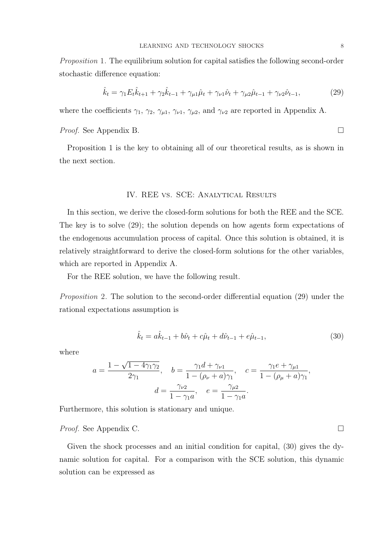Proposition 1. The equilibrium solution for capital satisfies the following second-order stochastic difference equation:

$$
\hat{k}_t = \gamma_1 E_t \hat{k}_{t+1} + \gamma_2 \hat{k}_{t-1} + \gamma_{\mu 1} \hat{\mu}_t + \gamma_{\nu 1} \hat{\nu}_t + \gamma_{\mu 2} \hat{\mu}_{t-1} + \gamma_{\nu 2} \hat{\nu}_{t-1},
$$
\n(29)

where the coefficients  $\gamma_1$ ,  $\gamma_2$ ,  $\gamma_{\mu 1}$ ,  $\gamma_{\nu 1}$ ,  $\gamma_{\mu 2}$ , and  $\gamma_{\nu 2}$  are reported in Appendix A.

*Proof.* See Appendix B.  $\Box$ 

Proposition 1 is the key to obtaining all of our theoretical results, as is shown in the next section.

#### IV. REE vs. SCE: Analytical Results

In this section, we derive the closed-form solutions for both the REE and the SCE. The key is to solve (29); the solution depends on how agents form expectations of the endogenous accumulation process of capital. Once this solution is obtained, it is relatively straightforward to derive the closed-form solutions for the other variables, which are reported in Appendix A.

For the REE solution, we have the following result.

Proposition 2. The solution to the second-order differential equation (29) under the rational expectations assumption is

$$
\hat{k}_t = a\hat{k}_{t-1} + b\hat{\nu}_t + c\hat{\mu}_t + d\hat{\nu}_{t-1} + e\hat{\mu}_{t-1},
$$
\n(30)

where

$$
a = \frac{1 - \sqrt{1 - 4\gamma_1\gamma_2}}{2\gamma_1}, \quad b = \frac{\gamma_1 d + \gamma_{\nu 1}}{1 - (\rho_{\nu} + a)\gamma_1}, \quad c = \frac{\gamma_1 e + \gamma_{\mu 1}}{1 - (\rho_{\mu} + a)\gamma_1},
$$

$$
d = \frac{\gamma_{\nu 2}}{1 - \gamma_1 a}, \quad e = \frac{\gamma_{\mu 2}}{1 - \gamma_1 a}.
$$

Furthermore, this solution is stationary and unique.

*Proof.* See Appendix C.  $\Box$ 

Given the shock processes and an initial condition for capital, (30) gives the dynamic solution for capital. For a comparison with the SCE solution, this dynamic solution can be expressed as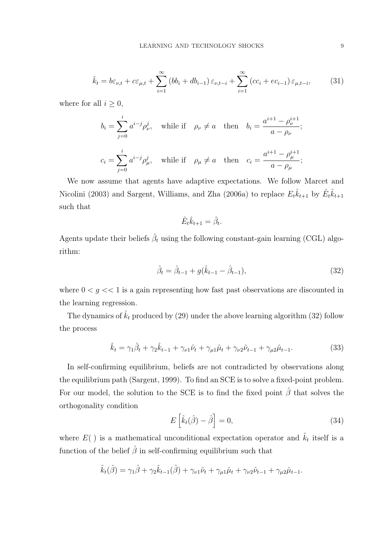$$
\hat{k}_t = b\varepsilon_{\nu,t} + c\varepsilon_{\mu,t} + \sum_{i=1}^{\infty} (bb_i + db_{i-1}) \varepsilon_{\nu,t-i} + \sum_{i=1}^{\infty} (cc_i + ec_{i-1}) \varepsilon_{\mu,t-i},
$$
 (31)

where for all  $i \geq 0$ ,

$$
b_i = \sum_{j=0}^i a^{i-j} \rho_\nu^j, \quad \text{while if} \quad \rho_\nu \neq a \quad \text{then} \quad b_i = \frac{a^{i+1} - \rho_\nu^{i+1}}{a - \rho_\nu};
$$
  

$$
c_i = \sum_{j=0}^i a^{i-j} \rho_\mu^j, \quad \text{while if} \quad \rho_\mu \neq a \quad \text{then} \quad c_i = \frac{a^{i+1} - \rho_\mu^{i+1}}{a - \rho_\mu};
$$

We now assume that agents have adaptive expectations. We follow Marcet and Nicolini (2003) and Sargent, Williams, and Zha (2006a) to replace  $E_t\hat{k}_{t+1}$  by  $\hat{E}_t\hat{k}_{t+1}$ such that

$$
\hat{E}_t \hat{k}_{t+1} = \hat{\beta}_t
$$

.

Agents update their beliefs  $\hat{\beta}_t$  using the following constant-gain learning (CGL) algorithm:

$$
\hat{\beta}_t = \hat{\beta}_{t-1} + g(\hat{k}_{t-1} - \hat{\beta}_{t-1}),\tag{32}
$$

where  $0 < g < 1$  is a gain representing how fast past observations are discounted in the learning regression.

The dynamics of  $\hat{k}_t$  produced by (29) under the above learning algorithm (32) follow the process

$$
\hat{k}_t = \gamma_1 \hat{\beta}_t + \gamma_2 \hat{k}_{t-1} + \gamma_{\nu 1} \hat{\nu}_t + \gamma_{\mu 1} \hat{\mu}_t + \gamma_{\nu 2} \hat{\nu}_{t-1} + \gamma_{\mu 2} \hat{\mu}_{t-1}.
$$
\n(33)

In self-confirming equilibrium, beliefs are not contradicted by observations along the equilibrium path (Sargent, 1999). To find an SCE is to solve a fixed-point problem. For our model, the solution to the SCE is to find the fixed point  $\hat{\beta}$  that solves the orthogonality condition h i

$$
E\left[\hat{k}_t(\hat{\beta}) - \hat{\beta}\right] = 0,\tag{34}
$$

where  $E()$  is a mathematical unconditional expectation operator and  $\hat{k}_t$  itself is a function of the belief  $\hat{\beta}$  in self-confirming equilibrium such that

$$
\hat{k}_{t}(\hat{\beta}) = \gamma_{1}\hat{\beta} + \gamma_{2}\hat{k}_{t-1}(\hat{\beta}) + \gamma_{\nu1}\hat{\nu}_{t} + \gamma_{\mu1}\hat{\mu}_{t} + \gamma_{\nu2}\hat{\nu}_{t-1} + \gamma_{\mu2}\hat{\mu}_{t-1}.
$$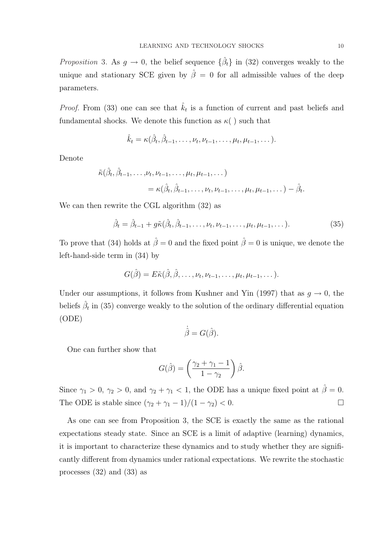*Proposition* 3. As  $g \to 0$ , the belief sequence  $\{\hat{\beta}_t\}$  in (32) converges weakly to the unique and stationary SCE given by  $\hat{\beta} = 0$  for all admissible values of the deep parameters.

*Proof.* From (33) one can see that  $\hat{k}_t$  is a function of current and past beliefs and fundamental shocks. We denote this function as  $\kappa$   $\ell$  ) such that

$$
\hat{k}_t = \kappa(\hat{\beta}_t, \hat{\beta}_{t-1}, \dots, \nu_t, \nu_{t-1}, \dots, \mu_t, \mu_{t-1}, \dots).
$$

Denote

$$
\tilde{\kappa}(\hat{\beta}_t, \hat{\beta}_{t-1}, \dots, \nu_t, \nu_{t-1}, \dots, \mu_t, \mu_{t-1}, \dots)
$$
  
= 
$$
\kappa(\hat{\beta}_t, \hat{\beta}_{t-1}, \dots, \nu_t, \nu_{t-1}, \dots, \mu_t, \mu_{t-1}, \dots) - \hat{\beta}_t.
$$

We can then rewrite the CGL algorithm (32) as

$$
\hat{\beta}_t = \hat{\beta}_{t-1} + g\tilde{\kappa}(\hat{\beta}_t, \hat{\beta}_{t-1}, \dots, \nu_t, \nu_{t-1}, \dots, \mu_t, \mu_{t-1}, \dots).
$$
 (35)

To prove that (34) holds at  $\hat{\beta} = 0$  and the fixed point  $\hat{\beta} = 0$  is unique, we denote the left-hand-side term in (34) by

$$
G(\hat{\beta}) = E\tilde{\kappa}(\hat{\beta}, \hat{\beta}, \dots, \nu_t, \nu_{t-1}, \dots, \mu_t, \mu_{t-1}, \dots).
$$

Under our assumptions, it follows from Kushner and Yin (1997) that as  $g \to 0$ , the beliefs  $\hat{\beta}_t$  in (35) converge weakly to the solution of the ordinary differential equation (ODE)

$$
\dot{\hat{\beta}} = G(\hat{\beta}).
$$

One can further show that

$$
G(\hat{\beta}) = \left(\frac{\gamma_2 + \gamma_1 - 1}{1 - \gamma_2}\right)\hat{\beta}.
$$

Since  $\gamma_1 > 0$ ,  $\gamma_2 > 0$ , and  $\gamma_2 + \gamma_1 < 1$ , the ODE has a unique fixed point at  $\hat{\beta} = 0$ . The ODE is stable since  $(\gamma_2 + \gamma_1 - 1)/(1 - \gamma_2) < 0$ .

As one can see from Proposition 3, the SCE is exactly the same as the rational expectations steady state. Since an SCE is a limit of adaptive (learning) dynamics, it is important to characterize these dynamics and to study whether they are significantly different from dynamics under rational expectations. We rewrite the stochastic processes (32) and (33) as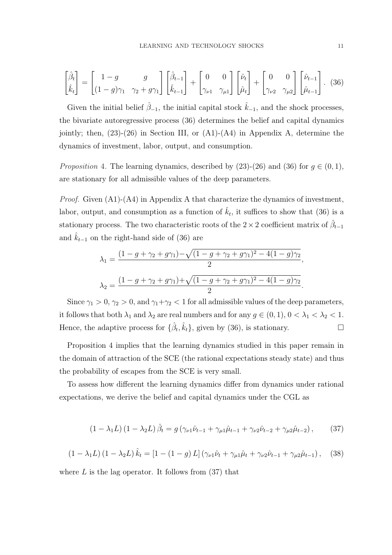$$
\begin{bmatrix} \hat{\beta}_t \\ \hat{k}_t \end{bmatrix} = \begin{bmatrix} 1 - g & g \\ (1 - g)\gamma_1 & \gamma_2 + g\gamma_1 \end{bmatrix} \begin{bmatrix} \hat{\beta}_{t-1} \\ \hat{k}_{t-1} \end{bmatrix} + \begin{bmatrix} 0 & 0 \\ \gamma_{\nu 1} & \gamma_{\mu 1} \end{bmatrix} \begin{bmatrix} \hat{\nu}_t \\ \hat{\mu}_t \end{bmatrix} + \begin{bmatrix} 0 & 0 \\ \gamma_{\nu 2} & \gamma_{\mu 2} \end{bmatrix} \begin{bmatrix} \hat{\nu}_{t-1} \\ \hat{\mu}_{t-1} \end{bmatrix} . \tag{36}
$$

Given the initial belief  $\hat{\beta}_{-1}$ , the initial capital stock  $\hat{k}_{-1}$ , and the shock processes, the bivariate autoregressive process (36) determines the belief and capital dynamics jointly; then,  $(23)-(26)$  in Section III, or  $(A1)-(A4)$  in Appendix A, determine the dynamics of investment, labor, output, and consumption.

*Proposition* 4. The learning dynamics, described by (23)-(26) and (36) for  $g \in (0,1)$ , are stationary for all admissible values of the deep parameters.

*Proof.* Given  $(A1)-(A4)$  in Appendix A that characterize the dynamics of investment, labor, output, and consumption as a function of  $\hat{k}_t$ , it suffices to show that (36) is a stationary process. The two characteristic roots of the 2  $\times$  2 coefficient matrix of  $\hat{\beta}_{t-1}$ and  $\hat{k}_{t-1}$  on the right-hand side of (36) are

$$
\lambda_1 = \frac{(1 - g + \gamma_2 + g\gamma_1) - \sqrt{(1 - g + \gamma_2 + g\gamma_1)^2 - 4(1 - g)\gamma_2}}{2},
$$
  

$$
\lambda_2 = \frac{(1 - g + \gamma_2 + g\gamma_1) + \sqrt{(1 - g + \gamma_2 + g\gamma_1)^2 - 4(1 - g)\gamma_2}}{2}.
$$

Since  $\gamma_1 > 0$ ,  $\gamma_2 > 0$ , and  $\gamma_1 + \gamma_2 < 1$  for all admissible values of the deep parameters, it follows that both  $\lambda_1$  and  $\lambda_2$  are real numbers and for any  $g \in (0,1)$ ,  $0 < \lambda_1 < \lambda_2 < 1$ . Hence, the adaptive process for  $\{\hat{\beta}_t, \hat{k}_t\}$ , given by (36), is stationary.

Proposition 4 implies that the learning dynamics studied in this paper remain in the domain of attraction of the SCE (the rational expectations steady state) and thus the probability of escapes from the SCE is very small.

To assess how different the learning dynamics differ from dynamics under rational expectations, we derive the belief and capital dynamics under the CGL as

$$
(1 - \lambda_1 L) (1 - \lambda_2 L) \hat{\beta}_t = g (\gamma_{\nu 1} \hat{\nu}_{t-1} + \gamma_{\mu 1} \hat{\mu}_{t-1} + \gamma_{\nu 2} \hat{\nu}_{t-2} + \gamma_{\mu 2} \hat{\mu}_{t-2}), \quad (37)
$$

$$
(1 - \lambda_1 L) (1 - \lambda_2 L) \hat{k}_t = [1 - (1 - g) L] (\gamma_{\nu 1} \hat{\nu}_t + \gamma_{\mu 1} \hat{\mu}_t + \gamma_{\nu 2} \hat{\nu}_{t-1} + \gamma_{\mu 2} \hat{\mu}_{t-1}), \quad (38)
$$

where  $L$  is the lag operator. It follows from  $(37)$  that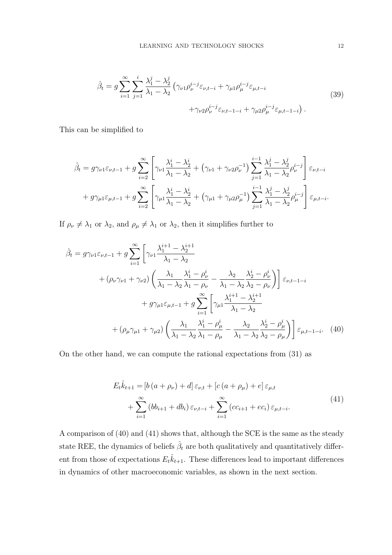$$
\hat{\beta}_t = g \sum_{i=1}^{\infty} \sum_{j=1}^{i} \frac{\lambda_1^j - \lambda_2^j}{\lambda_1 - \lambda_2} \left( \gamma_{\nu 1} \rho_{\nu}^{i-j} \varepsilon_{\nu, t-i} + \gamma_{\mu 1} \rho_{\mu}^{i-j} \varepsilon_{\mu, t-i} + \gamma_{\nu 2} \rho_{\nu}^{i-j} \varepsilon_{\mu, t-1-i} + \gamma_{\mu 2} \rho_{\mu}^{i-j} \varepsilon_{\mu, t-1-i} \right).
$$
\n(39)

This can be simplified to

$$
\hat{\beta}_t = g\gamma_{\nu1}\varepsilon_{\nu,t-1} + g\sum_{i=2}^{\infty} \left[ \gamma_{\nu1}\frac{\lambda_1^i - \lambda_2^i}{\lambda_1 - \lambda_2} + \left(\gamma_{\nu1} + \gamma_{\nu2}\rho_{\nu}^{-1}\right)\sum_{j=1}^{i-1} \frac{\lambda_1^j - \lambda_2^j}{\lambda_1 - \lambda_2}\rho_{\nu}^{i-j} \right] \varepsilon_{\nu,t-i}
$$

$$
+ g\gamma_{\mu1}\varepsilon_{\mu,t-1} + g\sum_{i=2}^{\infty} \left[ \gamma_{\mu1}\frac{\lambda_1^i - \lambda_2^i}{\lambda_1 - \lambda_2} + \left(\gamma_{\mu1} + \gamma_{\mu2}\rho_{\mu}^{-1}\right)\sum_{j=1}^{i-1} \frac{\lambda_1^j - \lambda_2^j}{\lambda_1 - \lambda_2}\rho_{\mu}^{i-j} \right] \varepsilon_{\mu,t-i}.
$$

If  $\rho_{\nu} \neq \lambda_1$  or  $\lambda_2$ , and  $\rho_{\mu} \neq \lambda_1$  or  $\lambda_2$ , then it simplifies further to

$$
\hat{\beta}_t = g\gamma_{\nu1}\varepsilon_{\nu,t-1} + g \sum_{i=1}^{\infty} \left[ \gamma_{\nu1} \frac{\lambda_1^{i+1} - \lambda_2^{i+1}}{\lambda_1 - \lambda_2} + (\rho_{\nu}\gamma_{\nu1} + \gamma_{\nu2}) \left( \frac{\lambda_1}{\lambda_1 - \lambda_2} \frac{\lambda_1^i - \rho_{\nu}^i}{\lambda_1 - \rho_{\nu}} - \frac{\lambda_2}{\lambda_1 - \lambda_2} \frac{\lambda_2^i - \rho_{\nu}^i}{\lambda_2 - \rho_{\nu}} \right) \right] \varepsilon_{\nu,t-1-i} + g\gamma_{\mu1}\varepsilon_{\mu,t-1} + g \sum_{i=1}^{\infty} \left[ \gamma_{\mu1} \frac{\lambda_1^{i+1} - \lambda_2^{i+1}}{\lambda_1 - \lambda_2} + (\rho_{\mu}\gamma_{\mu1} + \gamma_{\mu2}) \left( \frac{\lambda_1}{\lambda_1 - \lambda_2} \frac{\lambda_1^i - \rho_{\mu}^i}{\lambda_1 - \rho_{\mu}} - \frac{\lambda_2}{\lambda_1 - \lambda_2} \frac{\lambda_2^i - \rho_{\mu}^i}{\lambda_2 - \rho_{\mu}} \right) \right] \varepsilon_{\mu,t-1-i}.
$$
 (40)

On the other hand, we can compute the rational expectations from (31) as

$$
E_{t}\hat{k}_{t+1} = [b(a + \rho_{\nu}) + d] \varepsilon_{\nu,t} + [c(a + \rho_{\mu}) + e] \varepsilon_{\mu,t} + \sum_{i=1}^{\infty} (bb_{i+1} + db_i) \varepsilon_{\nu,t-i} + \sum_{i=1}^{\infty} (cc_{i+1} + ec_i) \varepsilon_{\mu,t-i}.
$$
\n(41)

A comparison of (40) and (41) shows that, although the SCE is the same as the steady state REE, the dynamics of beliefs  $\hat{\beta}_t$  are both qualitatively and quantitatively different from those of expectations  $E_t\hat{k}_{t+1}$ . These differences lead to important differences in dynamics of other macroeconomic variables, as shown in the next section.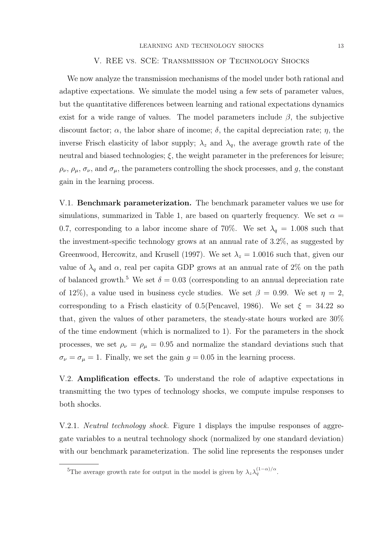#### V. REE vs. SCE: Transmission of Technology Shocks

We now analyze the transmission mechanisms of the model under both rational and adaptive expectations. We simulate the model using a few sets of parameter values, but the quantitative differences between learning and rational expectations dynamics exist for a wide range of values. The model parameters include  $\beta$ , the subjective discount factor;  $\alpha$ , the labor share of income;  $\delta$ , the capital depreciation rate;  $\eta$ , the inverse Frisch elasticity of labor supply;  $\lambda_z$  and  $\lambda_q$ , the average growth rate of the neutral and biased technologies;  $\xi$ , the weight parameter in the preferences for leisure;  $\rho_{\nu}, \rho_{\mu}, \sigma_{\nu}$ , and  $\sigma_{\mu}$ , the parameters controlling the shock processes, and g, the constant gain in the learning process.

V.1. Benchmark parameterization. The benchmark parameter values we use for simulations, summarized in Table 1, are based on quarterly frequency. We set  $\alpha =$ 0.7, corresponding to a labor income share of 70%. We set  $\lambda_q = 1.008$  such that the investment-specific technology grows at an annual rate of 3.2%, as suggested by Greenwood, Hercowitz, and Krusell (1997). We set  $\lambda_z = 1.0016$  such that, given our value of  $\lambda_q$  and  $\alpha$ , real per capita GDP grows at an annual rate of 2% on the path of balanced growth.<sup>5</sup> We set  $\delta = 0.03$  (corresponding to an annual depreciation rate of 12%), a value used in business cycle studies. We set  $\beta = 0.99$ . We set  $\eta = 2$ , corresponding to a Frisch elasticity of 0.5(Pencavel, 1986). We set  $\xi = 34.22$  so that, given the values of other parameters, the steady-state hours worked are 30% of the time endowment (which is normalized to 1). For the parameters in the shock processes, we set  $\rho_{\nu} = \rho_{\mu} = 0.95$  and normalize the standard deviations such that  $\sigma_{\nu} = \sigma_{\mu} = 1$ . Finally, we set the gain  $g = 0.05$  in the learning process.

V.2. Amplification effects. To understand the role of adaptive expectations in transmitting the two types of technology shocks, we compute impulse responses to both shocks.

V.2.1. *Neutral technology shock*. Figure 1 displays the impulse responses of aggregate variables to a neutral technology shock (normalized by one standard deviation) with our benchmark parameterization. The solid line represents the responses under

<sup>&</sup>lt;sup>5</sup>The average growth rate for output in the model is given by  $\lambda_z \lambda_q^{(1-\alpha)/\alpha}$ .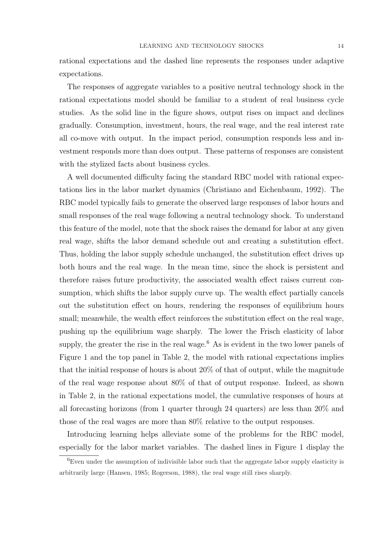rational expectations and the dashed line represents the responses under adaptive expectations.

The responses of aggregate variables to a positive neutral technology shock in the rational expectations model should be familiar to a student of real business cycle studies. As the solid line in the figure shows, output rises on impact and declines gradually. Consumption, investment, hours, the real wage, and the real interest rate all co-move with output. In the impact period, consumption responds less and investment responds more than does output. These patterns of responses are consistent with the stylized facts about business cycles.

A well documented difficulty facing the standard RBC model with rational expectations lies in the labor market dynamics (Christiano and Eichenbaum, 1992). The RBC model typically fails to generate the observed large responses of labor hours and small responses of the real wage following a neutral technology shock. To understand this feature of the model, note that the shock raises the demand for labor at any given real wage, shifts the labor demand schedule out and creating a substitution effect. Thus, holding the labor supply schedule unchanged, the substitution effect drives up both hours and the real wage. In the mean time, since the shock is persistent and therefore raises future productivity, the associated wealth effect raises current consumption, which shifts the labor supply curve up. The wealth effect partially cancels out the substitution effect on hours, rendering the responses of equilibrium hours small; meanwhile, the wealth effect reinforces the substitution effect on the real wage, pushing up the equilibrium wage sharply. The lower the Frisch elasticity of labor supply, the greater the rise in the real wage.<sup>6</sup> As is evident in the two lower panels of Figure 1 and the top panel in Table 2, the model with rational expectations implies that the initial response of hours is about 20% of that of output, while the magnitude of the real wage response about 80% of that of output response. Indeed, as shown in Table 2, in the rational expectations model, the cumulative responses of hours at all forecasting horizons (from 1 quarter through 24 quarters) are less than 20% and those of the real wages are more than 80% relative to the output responses.

Introducing learning helps alleviate some of the problems for the RBC model, especially for the labor market variables. The dashed lines in Figure 1 display the

 ${}^{6}$ Even under the assumption of indivisible labor such that the aggregate labor supply elasticity is arbitrarily large (Hansen, 1985; Rogerson, 1988), the real wage still rises sharply.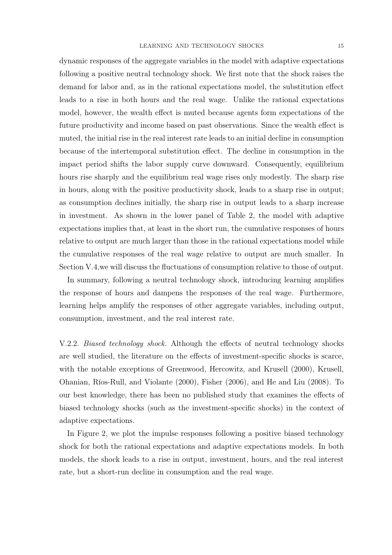dynamic responses of the aggregate variables in the model with adaptive expectations following a positive neutral technology shock. We first note that the shock raises the demand for labor and, as in the rational expectations model, the substitution effect leads to a rise in both hours and the real wage. Unlike the rational expectations model, however, the wealth effect is muted because agents form expectations of the future productivity and income based on past observations. Since the wealth effect is muted, the initial rise in the real interest rate leads to an initial decline in consumption because of the intertemporal substitution effect. The decline in consumption in the impact period shifts the labor supply curve downward. Consequently, equilibrium hours rise sharply and the equilibrium real wage rises only modestly. The sharp rise in hours, along with the positive productivity shock, leads to a sharp rise in output; as consumption declines initially, the sharp rise in output leads to a sharp increase in investment. As shown in the lower panel of Table 2, the model with adaptive expectations implies that, at least in the short run, the cumulative responses of hours relative to output are much larger than those in the rational expectations model while the cumulative responses of the real wage relative to output are much smaller. In Section V.4,we will discuss the fluctuations of consumption relative to those of output.

In summary, following a neutral technology shock, introducing learning amplifies the response of hours and dampens the responses of the real wage. Furthermore, learning helps amplify the responses of other aggregate variables, including output, consumption, investment, and the real interest rate.

V.2.2. Biased technology shock. Although the effects of neutral technology shocks are well studied, the literature on the effects of investment-specific shocks is scarce, with the notable exceptions of Greenwood, Hercowitz, and Krusell (2000), Krusell, Ohanian, Ríos-Rull, and Violante (2000), Fisher (2006), and He and Liu (2008). To our best knowledge, there has been no published study that examines the effects of biased technology shocks (such as the investment-specific shocks) in the context of adaptive expectations.

In Figure 2, we plot the impulse responses following a positive biased technology shock for both the rational expectations and adaptive expectations models. In both models, the shock leads to a rise in output, investment, hours, and the real interest rate, but a short-run decline in consumption and the real wage.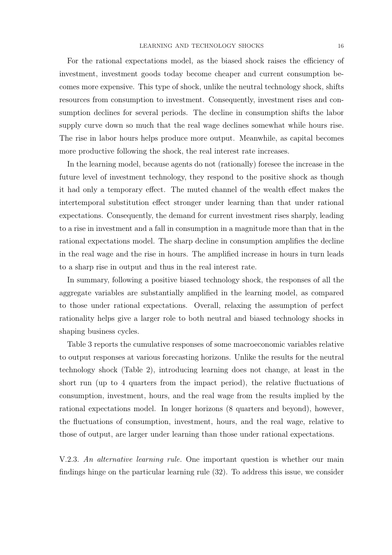For the rational expectations model, as the biased shock raises the efficiency of investment, investment goods today become cheaper and current consumption becomes more expensive. This type of shock, unlike the neutral technology shock, shifts resources from consumption to investment. Consequently, investment rises and consumption declines for several periods. The decline in consumption shifts the labor supply curve down so much that the real wage declines somewhat while hours rise. The rise in labor hours helps produce more output. Meanwhile, as capital becomes more productive following the shock, the real interest rate increases.

In the learning model, because agents do not (rationally) foresee the increase in the future level of investment technology, they respond to the positive shock as though it had only a temporary effect. The muted channel of the wealth effect makes the intertemporal substitution effect stronger under learning than that under rational expectations. Consequently, the demand for current investment rises sharply, leading to a rise in investment and a fall in consumption in a magnitude more than that in the rational expectations model. The sharp decline in consumption amplifies the decline in the real wage and the rise in hours. The amplified increase in hours in turn leads to a sharp rise in output and thus in the real interest rate.

In summary, following a positive biased technology shock, the responses of all the aggregate variables are substantially amplified in the learning model, as compared to those under rational expectations. Overall, relaxing the assumption of perfect rationality helps give a larger role to both neutral and biased technology shocks in shaping business cycles.

Table 3 reports the cumulative responses of some macroeconomic variables relative to output responses at various forecasting horizons. Unlike the results for the neutral technology shock (Table 2), introducing learning does not change, at least in the short run (up to 4 quarters from the impact period), the relative fluctuations of consumption, investment, hours, and the real wage from the results implied by the rational expectations model. In longer horizons (8 quarters and beyond), however, the fluctuations of consumption, investment, hours, and the real wage, relative to those of output, are larger under learning than those under rational expectations.

V.2.3. An alternative learning rule. One important question is whether our main findings hinge on the particular learning rule (32). To address this issue, we consider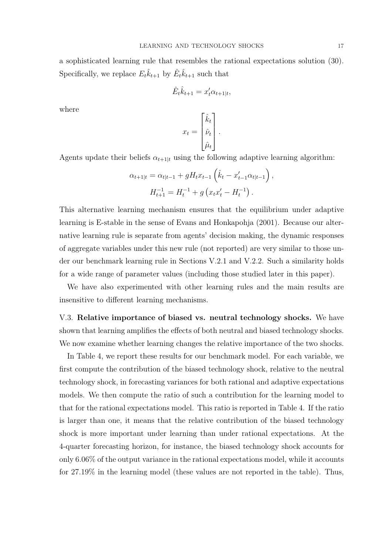a sophisticated learning rule that resembles the rational expectations solution (30). Specifically, we replace  $E_t \hat{k}_{t+1}$  by  $\hat{E}_t \hat{k}_{t+1}$  such that

$$
\hat{E}_t \hat{k}_{t+1} = x_t' \alpha_{t+1|t},
$$

where

$$
x_t = \begin{bmatrix} \hat{k}_t \\ \hat{\nu}_t \\ \hat{\mu}_t \end{bmatrix}.
$$

Agents update their beliefs  $\alpha_{t+1|t}$  using the following adaptive learning algorithm:

$$
\alpha_{t+1|t} = \alpha_{t|t-1} + gH_t x_{t-1} \left( \hat{k}_t - x'_{t-1} \alpha_{t|t-1} \right),
$$
  

$$
H_{t+1}^{-1} = H_t^{-1} + g \left( x_t x'_t - H_t^{-1} \right).
$$

This alternative learning mechanism ensures that the equilibrium under adaptive learning is E-stable in the sense of Evans and Honkapohja (2001). Because our alternative learning rule is separate from agents' decision making, the dynamic responses of aggregate variables under this new rule (not reported) are very similar to those under our benchmark learning rule in Sections V.2.1 and V.2.2. Such a similarity holds for a wide range of parameter values (including those studied later in this paper).

We have also experimented with other learning rules and the main results are insensitive to different learning mechanisms.

V.3. Relative importance of biased vs. neutral technology shocks. We have shown that learning amplifies the effects of both neutral and biased technology shocks. We now examine whether learning changes the relative importance of the two shocks.

In Table 4, we report these results for our benchmark model. For each variable, we first compute the contribution of the biased technology shock, relative to the neutral technology shock, in forecasting variances for both rational and adaptive expectations models. We then compute the ratio of such a contribution for the learning model to that for the rational expectations model. This ratio is reported in Table 4. If the ratio is larger than one, it means that the relative contribution of the biased technology shock is more important under learning than under rational expectations. At the 4-quarter forecasting horizon, for instance, the biased technology shock accounts for only 6.06% of the output variance in the rational expectations model, while it accounts for 27.19% in the learning model (these values are not reported in the table). Thus,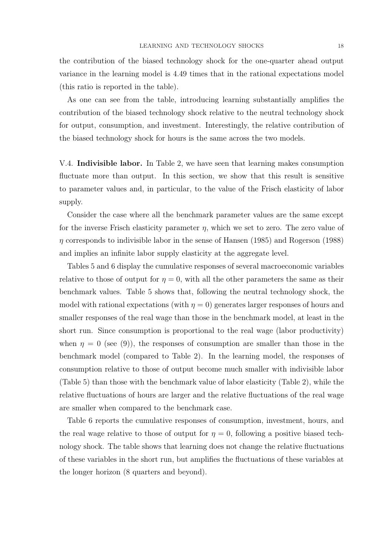the contribution of the biased technology shock for the one-quarter ahead output variance in the learning model is 4.49 times that in the rational expectations model (this ratio is reported in the table).

As one can see from the table, introducing learning substantially amplifies the contribution of the biased technology shock relative to the neutral technology shock for output, consumption, and investment. Interestingly, the relative contribution of the biased technology shock for hours is the same across the two models.

V.4. Indivisible labor. In Table 2, we have seen that learning makes consumption fluctuate more than output. In this section, we show that this result is sensitive to parameter values and, in particular, to the value of the Frisch elasticity of labor supply.

Consider the case where all the benchmark parameter values are the same except for the inverse Frisch elasticity parameter  $\eta$ , which we set to zero. The zero value of  $\eta$  corresponds to indivisible labor in the sense of Hansen (1985) and Rogerson (1988) and implies an infinite labor supply elasticity at the aggregate level.

Tables 5 and 6 display the cumulative responses of several macroeconomic variables relative to those of output for  $\eta = 0$ , with all the other parameters the same as their benchmark values. Table 5 shows that, following the neutral technology shock, the model with rational expectations (with  $\eta = 0$ ) generates larger responses of hours and smaller responses of the real wage than those in the benchmark model, at least in the short run. Since consumption is proportional to the real wage (labor productivity) when  $\eta = 0$  (see (9)), the responses of consumption are smaller than those in the benchmark model (compared to Table 2). In the learning model, the responses of consumption relative to those of output become much smaller with indivisible labor (Table 5) than those with the benchmark value of labor elasticity (Table 2), while the relative fluctuations of hours are larger and the relative fluctuations of the real wage are smaller when compared to the benchmark case.

Table 6 reports the cumulative responses of consumption, investment, hours, and the real wage relative to those of output for  $\eta = 0$ , following a positive biased technology shock. The table shows that learning does not change the relative fluctuations of these variables in the short run, but amplifies the fluctuations of these variables at the longer horizon (8 quarters and beyond).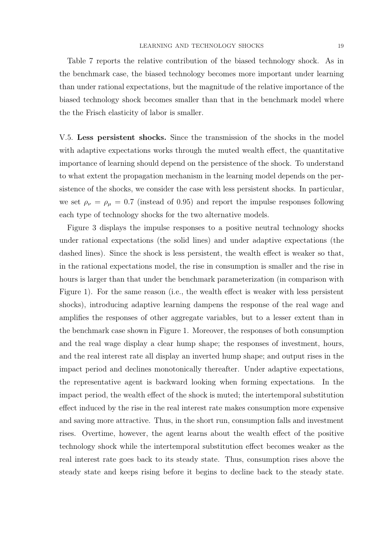Table 7 reports the relative contribution of the biased technology shock. As in the benchmark case, the biased technology becomes more important under learning than under rational expectations, but the magnitude of the relative importance of the biased technology shock becomes smaller than that in the benchmark model where the the Frisch elasticity of labor is smaller.

V.5. Less persistent shocks. Since the transmission of the shocks in the model with adaptive expectations works through the muted wealth effect, the quantitative importance of learning should depend on the persistence of the shock. To understand to what extent the propagation mechanism in the learning model depends on the persistence of the shocks, we consider the case with less persistent shocks. In particular, we set  $\rho_{\nu} = \rho_{\mu} = 0.7$  (instead of 0.95) and report the impulse responses following each type of technology shocks for the two alternative models.

Figure 3 displays the impulse responses to a positive neutral technology shocks under rational expectations (the solid lines) and under adaptive expectations (the dashed lines). Since the shock is less persistent, the wealth effect is weaker so that, in the rational expectations model, the rise in consumption is smaller and the rise in hours is larger than that under the benchmark parameterization (in comparison with Figure 1). For the same reason (i.e., the wealth effect is weaker with less persistent shocks), introducing adaptive learning dampens the response of the real wage and amplifies the responses of other aggregate variables, but to a lesser extent than in the benchmark case shown in Figure 1. Moreover, the responses of both consumption and the real wage display a clear hump shape; the responses of investment, hours, and the real interest rate all display an inverted hump shape; and output rises in the impact period and declines monotonically thereafter. Under adaptive expectations, the representative agent is backward looking when forming expectations. In the impact period, the wealth effect of the shock is muted; the intertemporal substitution effect induced by the rise in the real interest rate makes consumption more expensive and saving more attractive. Thus, in the short run, consumption falls and investment rises. Overtime, however, the agent learns about the wealth effect of the positive technology shock while the intertemporal substitution effect becomes weaker as the real interest rate goes back to its steady state. Thus, consumption rises above the steady state and keeps rising before it begins to decline back to the steady state.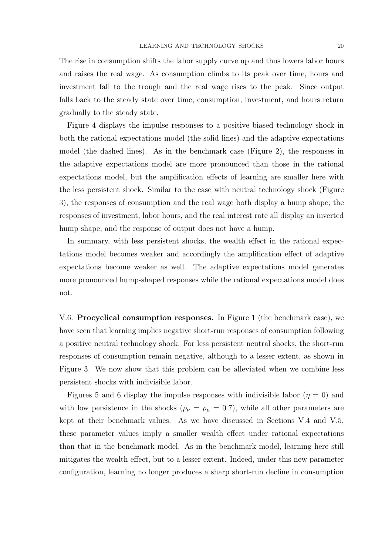The rise in consumption shifts the labor supply curve up and thus lowers labor hours and raises the real wage. As consumption climbs to its peak over time, hours and investment fall to the trough and the real wage rises to the peak. Since output falls back to the steady state over time, consumption, investment, and hours return gradually to the steady state.

Figure 4 displays the impulse responses to a positive biased technology shock in both the rational expectations model (the solid lines) and the adaptive expectations model (the dashed lines). As in the benchmark case (Figure 2), the responses in the adaptive expectations model are more pronounced than those in the rational expectations model, but the amplification effects of learning are smaller here with the less persistent shock. Similar to the case with neutral technology shock (Figure 3), the responses of consumption and the real wage both display a hump shape; the responses of investment, labor hours, and the real interest rate all display an inverted hump shape; and the response of output does not have a hump.

In summary, with less persistent shocks, the wealth effect in the rational expectations model becomes weaker and accordingly the amplification effect of adaptive expectations become weaker as well. The adaptive expectations model generates more pronounced hump-shaped responses while the rational expectations model does not.

V.6. Procyclical consumption responses. In Figure 1 (the benchmark case), we have seen that learning implies negative short-run responses of consumption following a positive neutral technology shock. For less persistent neutral shocks, the short-run responses of consumption remain negative, although to a lesser extent, as shown in Figure 3. We now show that this problem can be alleviated when we combine less persistent shocks with indivisible labor.

Figures 5 and 6 display the impulse responses with indivisible labor  $(\eta = 0)$  and with low persistence in the shocks ( $\rho_{\nu} = \rho_{\mu} = 0.7$ ), while all other parameters are kept at their benchmark values. As we have discussed in Sections V.4 and V.5, these parameter values imply a smaller wealth effect under rational expectations than that in the benchmark model. As in the benchmark model, learning here still mitigates the wealth effect, but to a lesser extent. Indeed, under this new parameter configuration, learning no longer produces a sharp short-run decline in consumption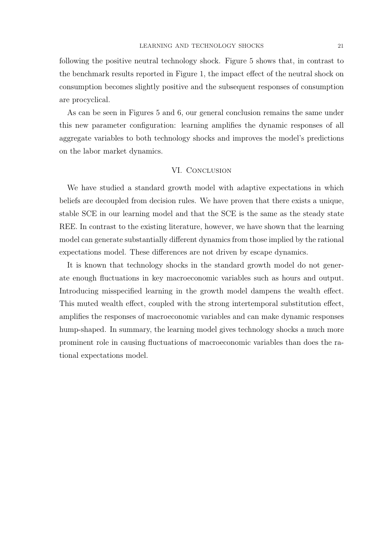following the positive neutral technology shock. Figure 5 shows that, in contrast to the benchmark results reported in Figure 1, the impact effect of the neutral shock on consumption becomes slightly positive and the subsequent responses of consumption are procyclical.

As can be seen in Figures 5 and 6, our general conclusion remains the same under this new parameter configuration: learning amplifies the dynamic responses of all aggregate variables to both technology shocks and improves the model's predictions on the labor market dynamics.

#### VI. Conclusion

We have studied a standard growth model with adaptive expectations in which beliefs are decoupled from decision rules. We have proven that there exists a unique, stable SCE in our learning model and that the SCE is the same as the steady state REE. In contrast to the existing literature, however, we have shown that the learning model can generate substantially different dynamics from those implied by the rational expectations model. These differences are not driven by escape dynamics.

It is known that technology shocks in the standard growth model do not generate enough fluctuations in key macroeconomic variables such as hours and output. Introducing misspecified learning in the growth model dampens the wealth effect. This muted wealth effect, coupled with the strong intertemporal substitution effect, amplifies the responses of macroeconomic variables and can make dynamic responses hump-shaped. In summary, the learning model gives technology shocks a much more prominent role in causing fluctuations of macroeconomic variables than does the rational expectations model.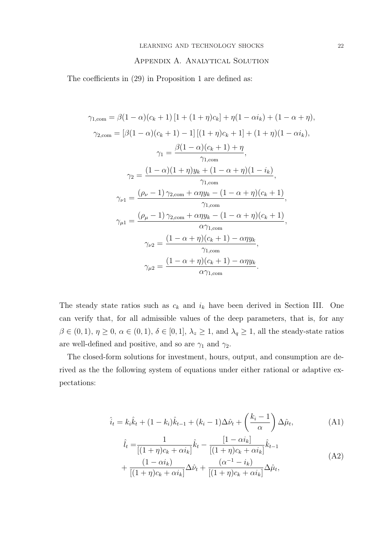### Appendix A. Analytical Solution

The coefficients in (29) in Proposition 1 are defined as:

$$
\gamma_{1,\text{com}} = \beta(1-\alpha)(c_k+1)[1+(1+\eta)c_k] + \eta(1-\alpha i_k) + (1-\alpha + \eta),
$$
  
\n
$$
\gamma_{2,\text{com}} = [\beta(1-\alpha)(c_k+1)-1][(1+\eta)c_k+1] + (1+\eta)(1-\alpha i_k),
$$
  
\n
$$
\gamma_1 = \frac{\beta(1-\alpha)(c_k+1)+\eta}{\gamma_{1,\text{com}}},
$$
  
\n
$$
\gamma_2 = \frac{(1-\alpha)(1+\eta)y_k + (1-\alpha + \eta)(1-i_k)}{\gamma_{1,\text{com}}},
$$
  
\n
$$
\gamma_{\nu 1} = \frac{(\rho_{\nu}-1)\gamma_{2,\text{com}} + \alpha\eta y_k - (1-\alpha + \eta)(c_k+1)}{\gamma_{1,\text{com}}},
$$
  
\n
$$
\gamma_{\mu 1} = \frac{(\rho_{\mu}-1)\gamma_{2,\text{com}} + \alpha\eta y_k - (1-\alpha + \eta)(c_k+1)}{\alpha\gamma_{1,\text{com}}},
$$
  
\n
$$
\gamma_{\nu 2} = \frac{(1-\alpha + \eta)(c_k+1) - \alpha\eta y_k}{\gamma_{1,\text{com}}},
$$
  
\n
$$
\gamma_{\mu 2} = \frac{(1-\alpha + \eta)(c_k+1) - \alpha\eta y_k}{\alpha\gamma_{1,\text{com}}}.
$$

The steady state ratios such as  $c_k$  and  $i_k$  have been derived in Section III. One can verify that, for all admissible values of the deep parameters, that is, for any  $\beta \in (0, 1), \, \eta \ge 0, \, \alpha \in (0, 1), \, \delta \in [0, 1], \, \lambda_z \ge 1, \, \text{and} \, \lambda_q \ge 1, \, \text{all the steady-state ratios}$ are well-defined and positive, and so are  $\gamma_1$  and  $\gamma_2$ .

The closed-form solutions for investment, hours, output, and consumption are derived as the the following system of equations under either rational or adaptive expectations:

$$
\hat{i}_t = k_i \hat{k}_t + (1 - k_i)\hat{k}_{t-1} + (k_i - 1)\Delta \hat{\nu}_t + \left(\frac{k_i - 1}{\alpha}\right)\Delta \hat{\mu}_t,
$$
\n(A1)

$$
\hat{l}_{t} = \frac{1}{[(1+\eta)c_{k} + \alpha i_{k}]} \hat{k}_{t} - \frac{[1-\alpha i_{k}]}{[(1+\eta)c_{k} + \alpha i_{k}]} \hat{k}_{t-1} + \frac{(1-\alpha i_{k})}{[(1+\eta)c_{k} + \alpha i_{k}]} \Delta \hat{\nu}_{t} + \frac{(\alpha^{-1} - i_{k})}{[(1+\eta)c_{k} + \alpha i_{k}]} \Delta \hat{\mu}_{t},
$$
\n(A2)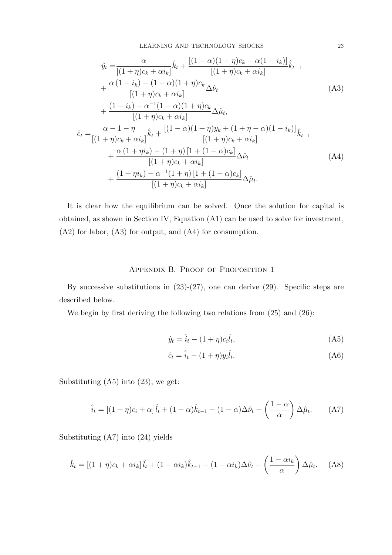LEARNING AND TECHNOLOGY SHOCKS 23

$$
\hat{y}_t = \frac{\alpha}{[(1+\eta)c_k + \alpha i_k]} \hat{k}_t + \frac{[(1-\alpha)(1+\eta)c_k - \alpha(1-i_k)]}{[(1+\eta)c_k + \alpha i_k]} \hat{k}_{t-1} \n+ \frac{\alpha(1-i_k) - (1-\alpha)(1+\eta)c_k}{[(1+\eta)c_k + \alpha i_k]} \Delta \hat{\nu}_t \n+ \frac{(1-i_k) - \alpha^{-1}(1-\alpha)(1+\eta)c_k}{[(1+\eta)c_k + \alpha i_k]} \Delta \hat{\mu}_t, \n\hat{c}_t = \frac{\alpha - 1 - \eta}{[(1+\eta)c_k + \alpha i_k]} \hat{k}_t + \frac{[(1-\alpha)(1+\eta)y_k + (1+\eta-\alpha)(1-i_k)]}{[(1+\eta)c_k + \alpha i_k]} \hat{k}_{t-1} \n+ \frac{\alpha(1+\eta i_k) - (1+\eta)[1 + (1-\alpha)c_k]}{[(1+\eta)c_k + \alpha i_k]} \Delta \hat{\nu}_t \n+ \frac{(1+\eta i_k) - \alpha^{-1}(1+\eta)[1 + (1-\alpha)c_k]}{[(1+\eta)c_k + \alpha i_k]} \Delta \hat{\mu}_t.
$$
\n(A4)

It is clear how the equilibrium can be solved. Once the solution for capital is obtained, as shown in Section IV, Equation (A1) can be used to solve for investment, (A2) for labor, (A3) for output, and (A4) for consumption.

#### Appendix B. Proof of Proposition 1

By successive substitutions in  $(23)-(27)$ , one can derive  $(29)$ . Specific steps are described below.

We begin by first deriving the following two relations from  $(25)$  and  $(26)$ :

$$
\hat{y}_t = \hat{i}_t - (1 + \eta)c_i\hat{l}_t,\tag{A5}
$$

$$
\hat{c}_t = \hat{i}_t - (1+\eta)y_i\hat{l}_t.
$$
\n(A6)

Substituting  $(A5)$  into  $(23)$ , we get:

$$
\hat{i}_t = \left[ (1+\eta)c_i + \alpha \right] \hat{i}_t + (1-\alpha)\hat{k}_{t-1} - (1-\alpha)\Delta\hat{\nu}_t - \left( \frac{1-\alpha}{\alpha} \right) \Delta\hat{\mu}_t.
$$
 (A7)

Substituting (A7) into (24) yields

$$
\hat{k}_t = \left[ (1+\eta)c_k + \alpha i_k \right] \hat{l}_t + (1-\alpha i_k)\hat{k}_{t-1} - (1-\alpha i_k)\Delta\hat{\nu}_t - \left( \frac{1-\alpha i_k}{\alpha} \right) \Delta\hat{\mu}_t.
$$
 (A8)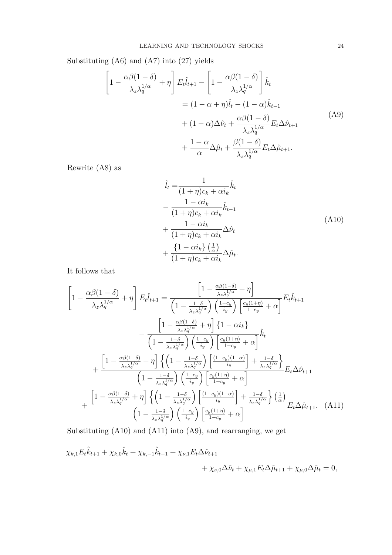Substituting (A6) and (A7) into (27) yields

$$
\left[1 - \frac{\alpha\beta(1-\delta)}{\lambda_z\lambda_q^{1/\alpha}} + \eta\right] E_t \hat{l}_{t+1} - \left[1 - \frac{\alpha\beta(1-\delta)}{\lambda_z\lambda_q^{1/\alpha}}\right] \hat{k}_t
$$
  

$$
= (1 - \alpha + \eta)\hat{l}_t - (1 - \alpha)\hat{k}_{t-1}
$$
  

$$
+ (1 - \alpha)\Delta\hat{\nu}_t + \frac{\alpha\beta(1-\delta)}{\lambda_z\lambda_q^{1/\alpha}} E_t \Delta\hat{\nu}_{t+1}
$$
  

$$
+ \frac{1 - \alpha}{\alpha}\Delta\hat{\mu}_t + \frac{\beta(1-\delta)}{\lambda_z\lambda_q^{1/\alpha}} E_t \Delta\hat{\mu}_{t+1}.
$$
 (A9)

Rewrite (A8) as

$$
\hat{l}_t = \frac{1}{(1+\eta)c_k + \alpha i_k} \hat{k}_t
$$
\n
$$
- \frac{1 - \alpha i_k}{(1+\eta)c_k + \alpha i_k} \hat{k}_{t-1}
$$
\n
$$
+ \frac{1 - \alpha i_k}{(1+\eta)c_k + \alpha i_k} \Delta \hat{\nu}_t
$$
\n
$$
+ \frac{\{1 - \alpha i_k\} \left(\frac{1}{\alpha}\right)}{(1+\eta)c_k + \alpha i_k} \Delta \hat{\mu}_t.
$$
\n(A10)

It follows that

$$
\left[1 - \frac{\alpha\beta(1-\delta)}{\lambda_{z}\lambda_{q}^{1/\alpha}} + \eta\right] E_{t}\hat{l}_{t+1} = \frac{\left[1 - \frac{\alpha\beta(1-\delta)}{\lambda_{z}\lambda_{q}^{1/\alpha}} + \eta\right]}{\left(1 - \frac{1-\delta}{\lambda_{z}\lambda_{q}^{1/\alpha}}\right)\left(\frac{1-c_{y}}{i_{y}}\right)\left[\frac{c_{y}(1+\eta)}{1-c_{y}} + \alpha\right]} E_{t}\hat{k}_{t+1}
$$
\n
$$
- \frac{\left[1 - \frac{\alpha\beta(1-\delta)}{\lambda_{z}\lambda_{q}^{1/\alpha}} + \eta\right]\left\{1 - \alpha i_{k}\right\}}{\left(1 - \frac{1-\delta}{\lambda_{z}\lambda_{q}^{1/\alpha}}\right)\left(\frac{1-c_{y}}{i_{y}}\right)\left[\frac{c_{y}(1+\eta)}{1-c_{y}} + \alpha\right]}\hat{k}_{t}
$$
\n
$$
+ \frac{\left[1 - \frac{\alpha\beta(1-\delta)}{\lambda_{z}\lambda_{q}^{1/\alpha}} + \eta\right]\left\{\left(1 - \frac{1-\delta}{\lambda_{z}\lambda_{q}^{1/\alpha}}\right)\left(\frac{(1-c_{y})\left(1-\alpha\right)}{i_{y}}\right] + \frac{1-\delta}{\lambda_{z}\lambda_{q}^{1/\alpha}}\right\}}{\left(1 - \frac{1-\delta}{\lambda_{z}\lambda_{q}^{1/\alpha}}\right)\left(\frac{1-c_{y}}{i_{y}}\right)\left[\frac{c_{y}(1+\eta)}{1-c_{y}} + \alpha\right]} E_{t}\Delta\hat{\nu}_{t+1}
$$
\n
$$
+ \frac{\left[1 - \frac{\alpha\beta(1-\delta)}{\lambda_{z}\lambda_{q}^{1/\alpha}} + \eta\right]\left\{\left(1 - \frac{1-\delta}{\lambda_{z}\lambda_{q}^{1/\alpha}}\right)\left[\frac{(1-c_{y})(1-\alpha)}{i_{y}}\right] + \frac{1-\delta}{\lambda_{z}\lambda_{q}^{1/\alpha}}\right\}\left(\frac{1}{\alpha}\right)}{\left(1 - \frac{1-\delta}{\lambda_{z}\lambda_{q}^{1/\alpha}}\right)\left(\frac{1-c_{y}}{i_{y}}\right)\left[\frac{c_{y}(1+\eta)}{1-c_{y}} + \alpha\right]} E_{t}\Delta\hat{\mu}_{t+1}.\tag{A11}
$$

Substituting (A10) and (A11) into (A9), and rearranging, we get

$$
\chi_{k,1} E_t \hat{k}_{t+1} + \chi_{k,0} \hat{k}_t + \chi_{k,-1} \hat{k}_{t-1} + \chi_{\nu,1} E_t \Delta \hat{\nu}_{t+1} + \chi_{\nu,0} \Delta \hat{\nu}_t + \chi_{\mu,1} E_t \Delta \hat{\mu}_{t+1} + \chi_{\mu,0} \Delta \hat{\mu}_t = 0,
$$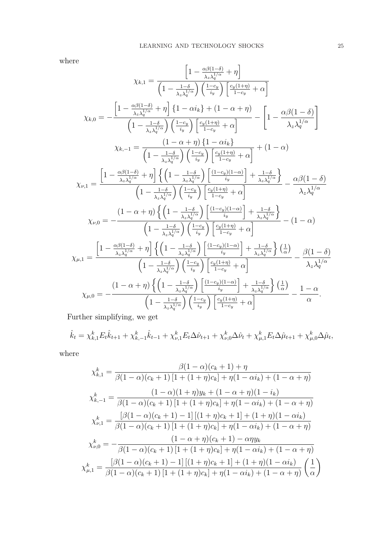where

$$
\chi_{k,1} = \frac{\left[1 - \frac{\alpha\beta(1-\delta)}{\lambda_z \lambda_q^{1/\alpha}} + \eta\right]}{\left(1 - \frac{1-\delta}{\lambda_z \lambda_q^{1/\alpha}}\right) \left(\frac{1-c_y}{i_y}\right) \left[\frac{c_y(1+\eta)}{1-c_y} + \alpha\right]}
$$
\n
$$
\chi_{k,0} = -\frac{\left[1 - \frac{\alpha\beta(1-\delta)}{\lambda_z \lambda_q^{1/\alpha}} + \eta\right] \left\{1 - \alpha i_k\right\} + (1 - \alpha + \eta)}{\left(1 - \frac{1-\delta}{\lambda_z \lambda_q^{1/\alpha}}\right) \left(\frac{1-c_y}{i_y}\right) \left[\frac{c_y(1+\eta)}{1-c_y} + \alpha\right]} - \left[1 - \frac{\alpha\beta(1-\delta)}{\lambda_z \lambda_q^{1/\alpha}}\right]
$$
\n
$$
\chi_{k,-1} = \frac{\left(1 - \alpha + \eta\right) \left\{1 - \alpha i_k\right\}}{\left(1 - \frac{1-\delta}{\lambda_z \lambda_q^{1/\alpha}}\right) \left(\frac{1-c_y}{i_y}\right) \left[\frac{c_y(1+\eta)}{1-c_y} + \alpha\right]} + (1 - \alpha)
$$
\n
$$
\chi_{\nu,1} = \frac{\left[1 - \frac{\alpha\beta(1-\delta)}{\lambda_z \lambda_q^{1/\alpha}} + \eta\right] \left\{\left(1 - \frac{1-\delta}{\lambda_z \lambda_q^{1/\alpha}}\right) \left[\frac{(1-c_y)(1-\alpha)}{i_y}\right] + \frac{1-\delta}{\lambda_z \lambda_q^{1/\alpha}}\right\}}{\left(1 - \frac{1-\delta}{\lambda_z \lambda_q^{1/\alpha}}\right) \left(\frac{1-c_y}{i_y}\right) \left[\frac{c_y(1+\eta)}{1-c_y} + \alpha\right]} - \frac{\alpha\beta(1-\delta)}{\lambda_z \lambda_q^{1/\alpha}}
$$
\n
$$
\chi_{\nu,0} = -\frac{\left(1 - \alpha + \eta\right) \left\{\left(1 - \frac{1-\delta}{\lambda_z \lambda_q^{1/\alpha}}\right) \left[\frac{(1-c_y)(1-\alpha)}{i_y}\right] + \frac{1-\delta}{\lambda_z \lambda_q^{1/\alpha}}\right\}}{\left(1 - \frac{1-\delta}{\lambda_z \lambda_q^{1/\alpha}}\right) \left(\frac{1-c_y}{i_y}\right) \left[\frac{c_y(1+\eta)}{1-c_y
$$

Further simplifying, we get

$$
\hat{k}_t = \chi_{k,1}^k E_t \hat{k}_{t+1} + \chi_{k,-1}^k \hat{k}_{t-1} + \chi_{\nu,1}^k E_t \Delta \hat{\nu}_{t+1} + \chi_{\nu,0}^k \Delta \hat{\nu}_t + \chi_{\mu,1}^k E_t \Delta \hat{\mu}_{t+1} + \chi_{\mu,0}^k \Delta \hat{\mu}_t,
$$

where

$$
\chi_{k,1}^{k} = \frac{\beta(1-\alpha)(c_{k}+1)+\eta}{\beta(1-\alpha)(c_{k}+1)[1+(1+\eta)c_{k}]+\eta(1-\alpha i_{k})+(1-\alpha+\eta)}
$$
  

$$
\chi_{k,-1}^{k} = \frac{(1-\alpha)(1+\eta)y_{k}+(1-\alpha+\eta)(1-i_{k})}{\beta(1-\alpha)(c_{k}+1)[1+(1+\eta)c_{k}]+\eta(1-\alpha i_{k})+(1-\alpha+\eta)}
$$
  

$$
\chi_{\nu,1}^{k} = \frac{[\beta(1-\alpha)(c_{k}+1)-1][(1+\eta)c_{k}+1]+(1+\eta)(1-\alpha i_{k})}{\beta(1-\alpha)(c_{k}+1)[1+(1+\eta)c_{k}]+\eta(1-\alpha i_{k})+(1-\alpha+\eta)}
$$
  

$$
\chi_{\nu,0}^{k} = -\frac{(1-\alpha+\eta)(c_{k}+1)-\alpha\eta y_{k}}{\beta(1-\alpha)(c_{k}+1)[1+(1+\eta)c_{k}]+\eta(1-\alpha i_{k})+(1-\alpha+\eta)}
$$
  

$$
\chi_{\mu,1}^{k} = \frac{[\beta(1-\alpha)(c_{k}+1)-1][(1+\eta)c_{k}+1]+(1+\eta)(1-\alpha i_{k})}{\beta(1-\alpha)(c_{k}+1)[1+(1+\eta)c_{k}]+\eta(1-\alpha i_{k})+(1-\alpha+\eta)} \left(\frac{1}{\alpha}\right)
$$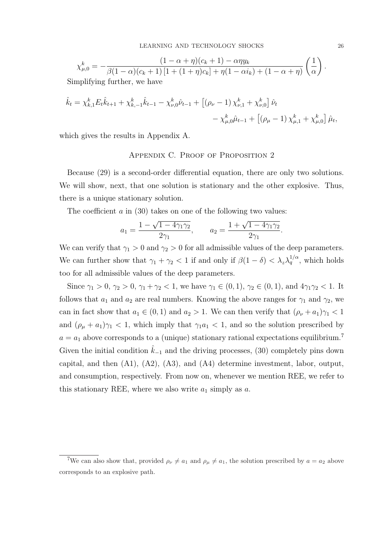$$
\chi_{\mu,0}^k = -\frac{(1-\alpha+\eta)(c_k+1) - \alpha\eta y_k}{\beta(1-\alpha)(c_k+1)\left[1+(1+\eta)c_k\right] + \eta(1-\alpha i_k) + (1-\alpha+\eta)} \left(\frac{1}{\alpha}\right)
$$
  
limplifying further, we have

Simplifying further, we have

$$
\hat{k}_t = \chi_{k,1}^k E_t \hat{k}_{t+1} + \chi_{k,-1}^k \hat{k}_{t-1} - \chi_{\nu,0}^k \hat{\nu}_{t-1} + \left[ (\rho_\nu - 1) \chi_{\nu,1}^k + \chi_{\nu,0}^k \right] \hat{\nu}_t \n- \chi_{\mu,0}^k \hat{\mu}_{t-1} + \left[ (\rho_\mu - 1) \chi_{\mu,1}^k + \chi_{\mu,0}^k \right] \hat{\mu}_t,
$$

which gives the results in Appendix A.

#### Appendix C. Proof of Proposition 2

Because (29) is a second-order differential equation, there are only two solutions. We will show, next, that one solution is stationary and the other explosive. Thus, there is a unique stationary solution.

The coefficient  $a$  in (30) takes on one of the following two values:

$$
a_1 = \frac{1 - \sqrt{1 - 4\gamma_1\gamma_2}}{2\gamma_1},
$$
  $a_2 = \frac{1 + \sqrt{1 - 4\gamma_1\gamma_2}}{2\gamma_1}.$ 

We can verify that  $\gamma_1 > 0$  and  $\gamma_2 > 0$  for all admissible values of the deep parameters. We can further show that  $\gamma_1 + \gamma_2 < 1$  if and only if  $\beta(1 - \delta) < \lambda_z \lambda_q^{1/\alpha}$ , which holds too for all admissible values of the deep parameters.

Since  $\gamma_1 > 0$ ,  $\gamma_2 > 0$ ,  $\gamma_1 + \gamma_2 < 1$ , we have  $\gamma_1 \in (0, 1)$ ,  $\gamma_2 \in (0, 1)$ , and  $4\gamma_1\gamma_2 < 1$ . It follows that  $a_1$  and  $a_2$  are real numbers. Knowing the above ranges for  $\gamma_1$  and  $\gamma_2$ , we can in fact show that  $a_1 \in (0,1)$  and  $a_2 > 1$ . We can then verify that  $(\rho_{\nu} + a_1)\gamma_1 < 1$ and  $(\rho_{\mu} + a_1)\gamma_1 < 1$ , which imply that  $\gamma_1 a_1 < 1$ , and so the solution prescribed by  $a = a_1$  above corresponds to a (unique) stationary rational expectations equilibrium.<sup>7</sup> Given the initial condition  $k_{-1}$  and the driving processes, (30) completely pins down capital, and then (A1), (A2), (A3), and (A4) determine investment, labor, output, and consumption, respectively. From now on, whenever we mention REE, we refer to this stationary REE, where we also write  $a_1$  simply as  $a$ .

.

<sup>&</sup>lt;sup>7</sup>We can also show that, provided  $\rho_{\nu} \neq a_1$  and  $\rho_{\mu} \neq a_1$ , the solution prescribed by  $a = a_2$  above corresponds to an explosive path.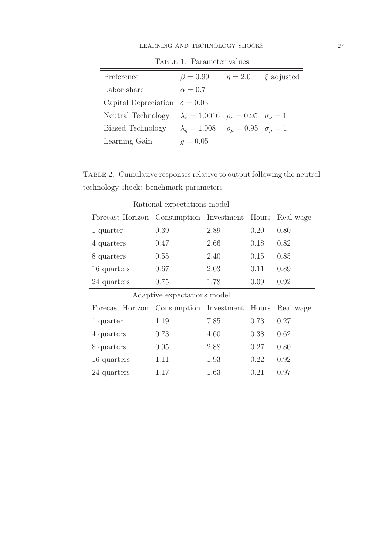| Preference                                                                     | $\beta = 0.99$                                         | $\eta = 2.0$ | $\xi$ adjusted |
|--------------------------------------------------------------------------------|--------------------------------------------------------|--------------|----------------|
| Labor share                                                                    | $\alpha = 0.7$                                         |              |                |
| Capital Depreciation $\delta = 0.03$                                           |                                                        |              |                |
| Neutral Technology $\lambda_z = 1.0016$ $\rho_{\nu} = 0.95$ $\sigma_{\nu} = 1$ |                                                        |              |                |
| Biased Technology                                                              | $\lambda_a = 1.008$ $\rho_\mu = 0.95$ $\sigma_\mu = 1$ |              |                |
| Learning Gain                                                                  | $q = 0.05$                                             |              |                |

TABLE 1. Parameter values

Table 2. Cumulative responses relative to output following the neutral technology shock: benchmark parameters

| Rational expectations model             |                             |      |       |           |  |  |
|-----------------------------------------|-----------------------------|------|-------|-----------|--|--|
| Forecast Horizon                        | Consumption Investment      |      | Hours | Real wage |  |  |
| 1 quarter                               | 0.39                        | 2.89 | 0.20  | 0.80      |  |  |
| 4 quarters                              | 0.47                        | 2.66 | 0.18  | 0.82      |  |  |
| 8 quarters                              | 0.55                        | 2.40 | 0.15  | 0.85      |  |  |
| 16 quarters                             | 0.67                        | 2.03 | 0.11  | 0.89      |  |  |
| 24 quarters                             | 0.75                        | 1.78 | 0.09  | 0.92      |  |  |
|                                         | Adaptive expectations model |      |       |           |  |  |
| Forecast Horizon Consumption Investment |                             |      | Hours | Real wage |  |  |
| 1 quarter                               | 1.19                        | 7.85 | 0.73  | 0.27      |  |  |
| 4 quarters                              | 0.73                        | 4.60 | 0.38  | 0.62      |  |  |
| 8 quarters                              | 0.95                        | 2.88 | 0.27  | 0.80      |  |  |
| 16 quarters                             | 1.11                        | 1.93 | 0.22  | 0.92      |  |  |
| 24 quarters                             | 1.17                        | 1.63 | 0.21  | 0.97      |  |  |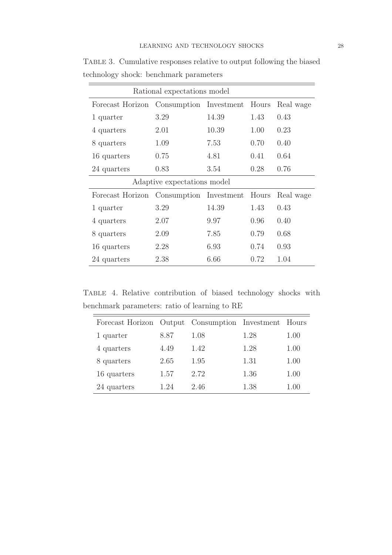| Rational expectations model |                              |       |       |           |  |
|-----------------------------|------------------------------|-------|-------|-----------|--|
| Forecast Horizon            | Consumption Investment Hours |       |       | Real wage |  |
| 1 quarter                   | 3.29                         | 14.39 | 1.43  | 0.43      |  |
| 4 quarters                  | 2.01                         | 10.39 | 1.00  | 0.23      |  |
| 8 quarters                  | 1.09                         | 7.53  | 0.70  | 0.40      |  |
| 16 quarters                 | 0.75                         | 4.81  | 0.41  | 0.64      |  |
| 24 quarters                 | 0.83                         | 3.54  | 0.28  | 0.76      |  |
|                             | Adaptive expectations model  |       |       |           |  |
| Forecast Horizon            | Consumption Investment       |       | Hours | Real wage |  |
| 1 quarter                   | 3.29                         | 14.39 | 1.43  | 0.43      |  |
| 4 quarters                  | 2.07                         | 9.97  | 0.96  | 0.40      |  |
| 8 quarters                  | 2.09                         | 7.85  | 0.79  | 0.68      |  |
| 16 quarters                 | 2.28                         | 6.93  | 0.74  | 0.93      |  |
| 24 quarters                 | 2.38                         | 6.66  | 0.72  | 1.04      |  |

Table 3. Cumulative responses relative to output following the biased technology shock: benchmark parameters  $=$ 

Table 4. Relative contribution of biased technology shocks with benchmark parameters: ratio of learning to RE

| Forecast Horizon Output Consumption Investment Hours |      |      |      |      |
|------------------------------------------------------|------|------|------|------|
| 1 quarter                                            | 8.87 | 1.08 | 1.28 | 1.00 |
| 4 quarters                                           | 4.49 | 1.42 | 1.28 | 1.00 |
| 8 quarters                                           | 2.65 | 1.95 | 1.31 | 1.00 |
| 16 quarters                                          | 1.57 | 2.72 | 1.36 | 1.00 |
| 24 quarters                                          | 1.24 | 2.46 | 1.38 | 1.00 |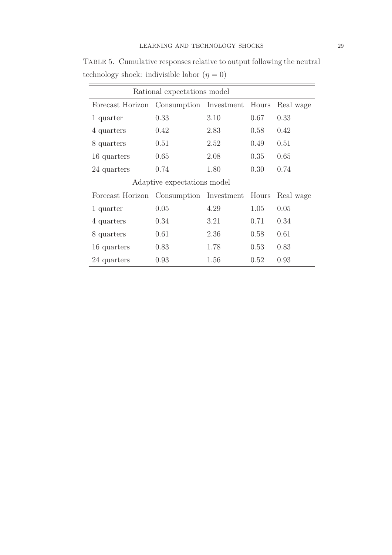| Rational expectations model |                              |      |       |           |  |
|-----------------------------|------------------------------|------|-------|-----------|--|
| Forecast Horizon            | Consumption Investment Hours |      |       | Real wage |  |
| 1 quarter                   | 0.33                         | 3.10 | 0.67  | 0.33      |  |
| 4 quarters                  | 0.42                         | 2.83 | 0.58  | 0.42      |  |
| 8 quarters                  | 0.51                         | 2.52 | 0.49  | 0.51      |  |
| 16 quarters                 | 0.65                         | 2.08 | 0.35  | 0.65      |  |
| 24 quarters                 | 0.74                         | 1.80 | 0.30  | 0.74      |  |
| Adaptive expectations model |                              |      |       |           |  |
| Forecast Horizon            | Consumption Investment       |      | Hours | Real wage |  |
| 1 quarter                   | 0.05                         | 4.29 | 1.05  | 0.05      |  |
| 4 quarters                  | 0.34                         | 3.21 | 0.71  | 0.34      |  |
| 8 quarters                  | 0.61                         | 2.36 | 0.58  | 0.61      |  |
| 16 quarters                 | 0.83                         | 1.78 | 0.53  | 0.83      |  |
| 24 quarters                 | 0.93                         | 1.56 | 0.52  | 0.93      |  |

Table 5. Cumulative responses relative to output following the neutral technology shock: indivisible labor  $(\eta = 0)$ 

 $=$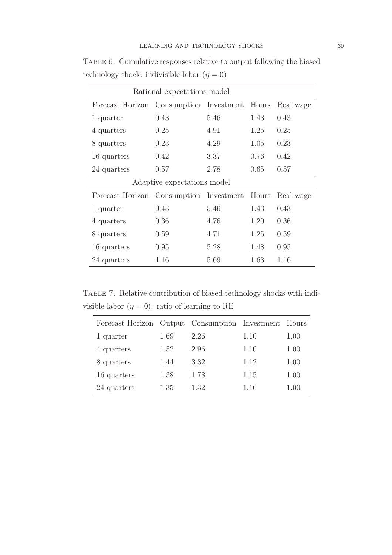| Rational expectations model |                              |      |       |           |  |
|-----------------------------|------------------------------|------|-------|-----------|--|
| Forecast Horizon            | Consumption Investment Hours |      |       | Real wage |  |
| 1 quarter                   | 0.43                         | 5.46 | 1.43  | 0.43      |  |
| 4 quarters                  | 0.25                         | 4.91 | 1.25  | 0.25      |  |
| 8 quarters                  | 0.23                         | 4.29 | 1.05  | 0.23      |  |
| 16 quarters                 | 0.42                         | 3.37 | 0.76  | 0.42      |  |
| 24 quarters                 | 0.57                         | 2.78 | 0.65  | 0.57      |  |
| Adaptive expectations model |                              |      |       |           |  |
| Forecast Horizon            | Consumption Investment       |      | Hours | Real wage |  |
| 1 quarter                   | 0.43                         | 5.46 | 1.43  | 0.43      |  |
| 4 quarters                  | 0.36                         | 4.76 | 1.20  | 0.36      |  |
| 8 quarters                  | 0.59                         | 4.71 | 1.25  | 0.59      |  |
| 16 quarters                 | 0.95                         | 5.28 | 1.48  | 0.95      |  |
| 24 quarters                 | 1.16                         | 5.69 | 1.63  | 1.16      |  |

Table 6. Cumulative responses relative to output following the biased technology shock: indivisible labor  $(\eta = 0)$ 

Table 7. Relative contribution of biased technology shocks with indivisible labor  $(\eta = 0)$ : ratio of learning to RE

| Forecast Horizon Output Consumption Investment Hours |      |      |      |      |
|------------------------------------------------------|------|------|------|------|
| 1 quarter                                            | 1.69 | 2.26 | 1.10 | 1.00 |
| 4 quarters                                           | 1.52 | 2.96 | 1.10 | 1.00 |
| 8 quarters                                           | 1.44 | 3.32 | 1.12 | 1.00 |
| 16 quarters                                          | 1.38 | 1.78 | 1.15 | 1.00 |
| 24 quarters                                          | 1.35 | 1.32 | 1.16 | 1.00 |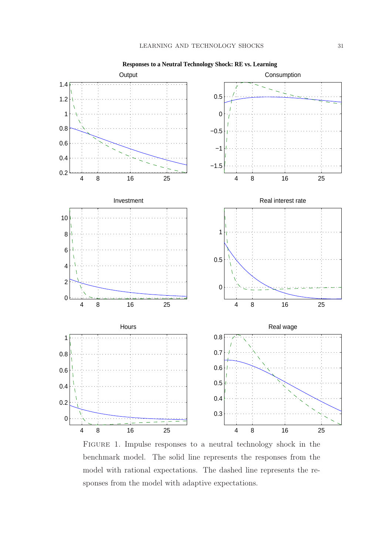

**Responses to a Neutral Technology Shock: RE vs. Learning**

Figure 1. Impulse responses to a neutral technology shock in the benchmark model. The solid line represents the responses from the model with rational expectations. The dashed line represents the responses from the model with adaptive expectations.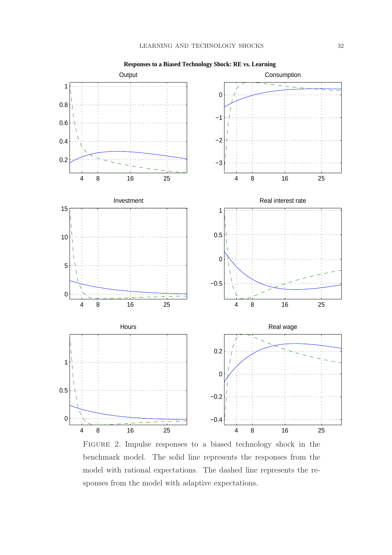

Figure 2. Impulse responses to a biased technology shock in the benchmark model. The solid line represents the responses from the model with rational expectations. The dashed line represents the responses from the model with adaptive expectations.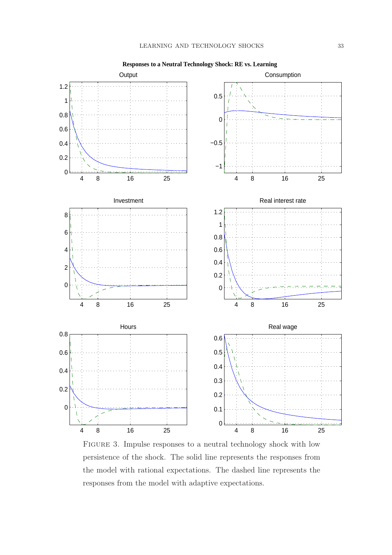

**Responses to a Neutral Technology Shock: RE vs. Learning**

Figure 3. Impulse responses to a neutral technology shock with low persistence of the shock. The solid line represents the responses from the model with rational expectations. The dashed line represents the responses from the model with adaptive expectations.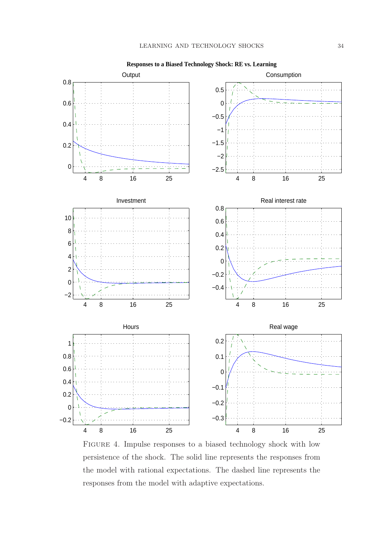

Figure 4. Impulse responses to a biased technology shock with low persistence of the shock. The solid line represents the responses from the model with rational expectations. The dashed line represents the responses from the model with adaptive expectations.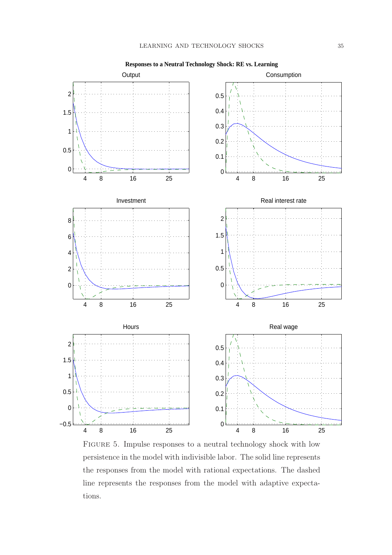

**Responses to a Neutral Technology Shock: RE vs. Learning**

Figure 5. Impulse responses to a neutral technology shock with low persistence in the model with indivisible labor. The solid line represents the responses from the model with rational expectations. The dashed line represents the responses from the model with adaptive expectations.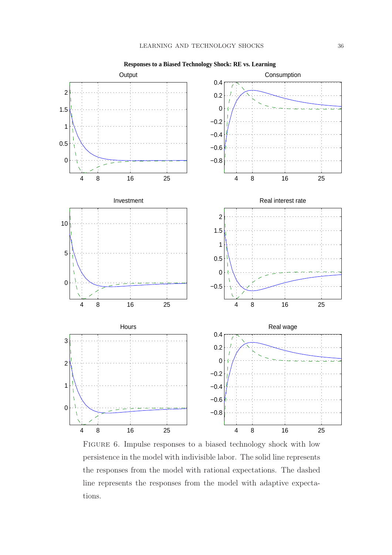

FIGURE 6. Impulse responses to a biased technology shock with low persistence in the model with indivisible labor. The solid line represents the responses from the model with rational expectations. The dashed line represents the responses from the model with adaptive expectations.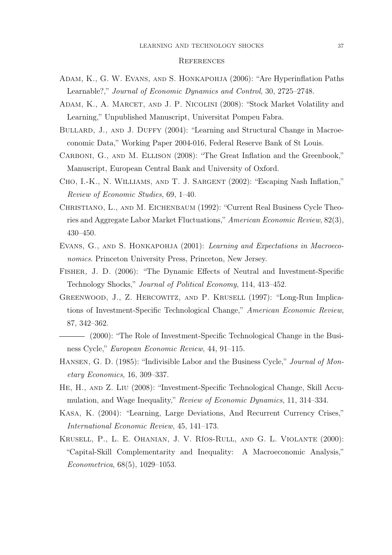#### **REFERENCES**

- Adam, K., G. W. Evans, and S. Honkapohja (2006): "Are Hyperinflation Paths Learnable?," Journal of Economic Dynamics and Control, 30, 2725–2748.
- ADAM, K., A. MARCET, AND J. P. NICOLINI (2008): "Stock Market Volatility and Learning," Unpublished Manuscript, Universitat Pompeu Fabra.
- BULLARD, J., AND J. DUFFY (2004): "Learning and Structural Change in Macroeconomic Data," Working Paper 2004-016, Federal Reserve Bank of St Louis.
- CARBONI, G., AND M. ELLISON (2008): "The Great Inflation and the Greenbook," Manuscript, European Central Bank and University of Oxford.
- Cho, I.-K., N. Williams, and T. J. Sargent (2002): "Escaping Nash Inflation," Review of Economic Studies, 69, 1–40.
- Christiano, L., and M. Eichenbaum (1992): "Current Real Business Cycle Theories and Aggregate Labor Market Fluctuations," American Economic Review, 82(3), 430–450.
- EVANS, G., AND S. HONKAPOHJA (2001): Learning and Expectations in Macroeconomics. Princeton University Press, Princeton, New Jersey.
- Fisher, J. D. (2006): "The Dynamic Effects of Neutral and Investment-Specific Technology Shocks," Journal of Political Economy, 114, 413–452.
- Greenwood, J., Z. Hercowitz, and P. Krusell (1997): "Long-Run Implications of Investment-Specific Technological Change," American Economic Review, 87, 342–362.
- (2000): "The Role of Investment-Specific Technological Change in the Business Cycle," European Economic Review, 44, 91–115.
- HANSEN, G. D. (1985): "Indivisible Labor and the Business Cycle," *Journal of Mon*etary Economics, 16, 309–337.
- He, H., and Z. Liu (2008): "Investment-Specific Technological Change, Skill Accumulation, and Wage Inequality," Review of Economic Dynamics, 11, 314–334.
- Kasa, K. (2004): "Learning, Large Deviations, And Recurrent Currency Crises," International Economic Review, 45, 141–173.
- Krusell, P., L. E. Ohanian, J. V. Ríos-Rull, and G. L. Violante (2000): "Capital-Skill Complementarity and Inequality: A Macroeconomic Analysis," Econometrica, 68(5), 1029–1053.